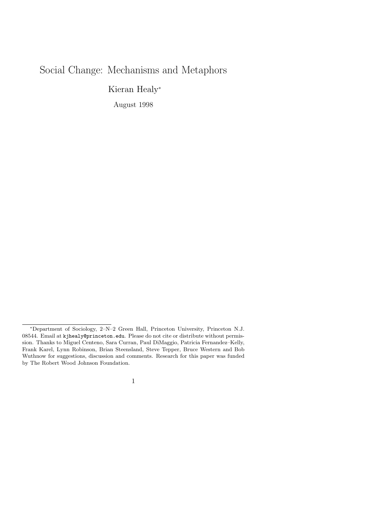# Social Change: Mechanisms and Metaphors

Kieran Healy<sup>∗</sup>

August 1998

1

<sup>∗</sup>Department of Sociology, 2–N–2 Green Hall, Princeton University, Princeton N.J. 08544. Email at kjhealy@princeton.edu. Please do not cite or distribute without permission. Thanks to Miguel Centeno, Sara Curran, Paul DiMaggio, Patricia Fernandez–Kelly, Frank Karel, Lynn Robinson, Brian Steensland, Steve Tepper, Bruce Western and Bob Wuthnow for suggestions, discussion and comments. Research for this paper was funded by The Robert Wood Johnson Foundation.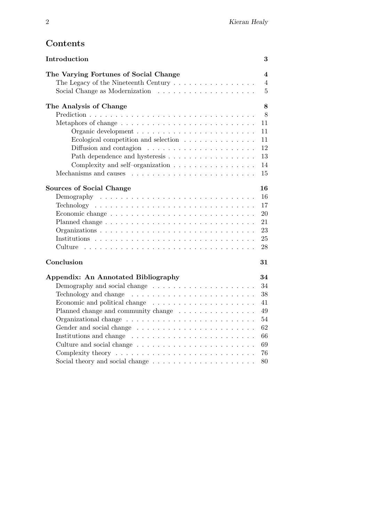# Contents

| Introduction                                                                              | 3              |
|-------------------------------------------------------------------------------------------|----------------|
| The Varying Fortunes of Social Change                                                     | 4              |
| The Legacy of the Nineteenth Century $\ldots \ldots \ldots \ldots \ldots$                 | 4              |
|                                                                                           | $\overline{5}$ |
| The Analysis of Change                                                                    | 8              |
|                                                                                           | 8              |
|                                                                                           | 11             |
|                                                                                           | 11             |
| Ecological competition and selection $\ldots \ldots \ldots \ldots$                        | 11             |
|                                                                                           | 12             |
| Path dependence and hysteresis                                                            | 13             |
| Complexity and self-organization $\ldots \ldots \ldots \ldots \ldots$                     | 14             |
|                                                                                           | 15             |
| <b>Sources of Social Change</b>                                                           | 16             |
|                                                                                           | 16             |
| $Technology \ldots \ldots \ldots \ldots \ldots \ldots \ldots \ldots \ldots \ldots \ldots$ | 17             |
|                                                                                           | 20             |
|                                                                                           | 21             |
|                                                                                           | 23             |
|                                                                                           | 25             |
| Culture                                                                                   | 28             |
| Conclusion                                                                                | 31             |
| Appendix: An Annotated Bibliography                                                       | 34             |
| Demography and social change $\dots \dots \dots \dots \dots \dots \dots$                  | 34             |
|                                                                                           | 38             |
| Economic and political change $\dots \dots \dots \dots \dots \dots \dots$                 | 41             |
| Planned change and community change $\ldots \ldots \ldots \ldots \ldots$                  | 49             |
|                                                                                           | 54             |
|                                                                                           | 62             |
|                                                                                           | 66             |
|                                                                                           |                |
|                                                                                           | 69             |
|                                                                                           | 76             |
|                                                                                           | 80             |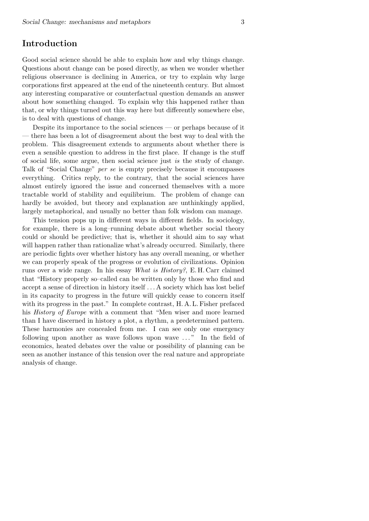# Introduction

Good social science should be able to explain how and why things change. Questions about change can be posed directly, as when we wonder whether religious observance is declining in America, or try to explain why large corporations first appeared at the end of the nineteenth century. But almost any interesting comparative or counterfactual question demands an answer about how something changed. To explain why this happened rather than that, or why things turned out this way here but differently somewhere else, is to deal with questions of change.

Despite its importance to the social sciences — or perhaps because of it — there has been a lot of disagreement about the best way to deal with the problem. This disagreement extends to arguments about whether there is even a sensible question to address in the first place. If change is the stuff of social life, some argue, then social science just is the study of change. Talk of "Social Change" per se is empty precisely because it encompasses everything. Critics reply, to the contrary, that the social sciences have almost entirely ignored the issue and concerned themselves with a more tractable world of stability and equilibrium. The problem of change can hardly be avoided, but theory and explanation are unthinkingly applied, largely metaphorical, and usually no better than folk wisdom can manage.

This tension pops up in different ways in different fields. In sociology, for example, there is a long–running debate about whether social theory could or should be predictive; that is, whether it should aim to say what will happen rather than rationalize what's already occurred. Similarly, there are periodic fights over whether history has any overall meaning, or whether we can properly speak of the progress or evolution of civilizations. Opinion runs over a wide range. In his essay What is History?, E. H. Carr claimed that "History properly so–called can be written only by those who find and accept a sense of direction in history itself . . . A society which has lost belief in its capacity to progress in the future will quickly cease to concern itself with its progress in the past." In complete contrast, H. A. L. Fisher prefaced his *History of Europe* with a comment that "Men wiser and more learned than I have discerned in history a plot, a rhythm, a predetermined pattern. These harmonies are concealed from me. I can see only one emergency following upon another as wave follows upon wave ..." In the field of economics, heated debates over the value or possibility of planning can be seen as another instance of this tension over the real nature and appropriate analysis of change.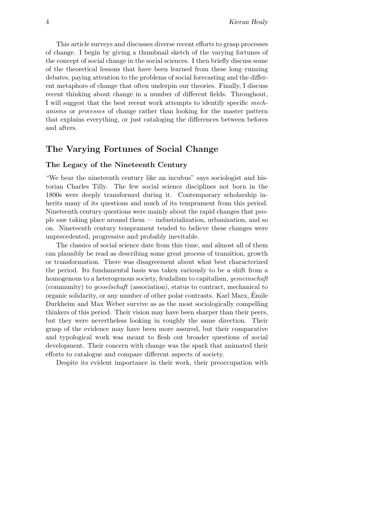This article surveys and discusses diverse recent efforts to grasp processes of change. I begin by giving a thumbnail sketch of the varying fortunes of the concept of social change in the social sciences. I then briefly discuss some of the theoretical lessons that have been learned from these long–running debates, paying attention to the problems of social forecasting and the different metaphors of change that often underpin our theories. Finally, I discuss recent thinking about change in a number of different fields. Throughout, I will suggest that the best recent work attempts to identify specific mechanisms or processes of change rather than looking for the master pattern that explains everything, or just cataloging the differences between befores and afters.

# The Varying Fortunes of Social Change

## The Legacy of the Nineteenth Century

"We bear the nineteenth century like an incubus" says sociologist and historian Charles Tilly. The few social science disciplines not born in the 1800s were deeply transformed during it. Contemporary scholarship inherits many of its questions and much of its temprament from this period. Nineteenth century questions were mainly about the rapid changes that people saw taking place around them — industrialization, urbanization, and so on. Nineteenth century temprament tended to believe these changes were unprecedented, progressive and probably inevitable.

The classics of social science date from this time, and almost all of them can plausibly be read as describing some great process of transition, growth or transformation. There was disagreement about what best characterized the period. Its fundamental basis was taken variously to be a shift from a homogenous to a heterogenous society, feudalism to capitalism, *gemeinschaft* (community) to gesselschaft (association), status to contract, mechanical to organic solidarity, or any number of other polar contrasts. Karl Marx, Emile ´ Durkheim and Max Weber survive as as the most sociologically compelling thinkers of this period. Their vision may have been sharper than their peers, but they were nevertheless looking in roughly the same direction. Their grasp of the evidence may have been more assured, but their comparative and typological work was meant to flesh out broader questions of social development. Their concern with change was the spark that animated their efforts to catalogue and compare different aspects of society.

Despite its evident importance in their work, their preoccupation with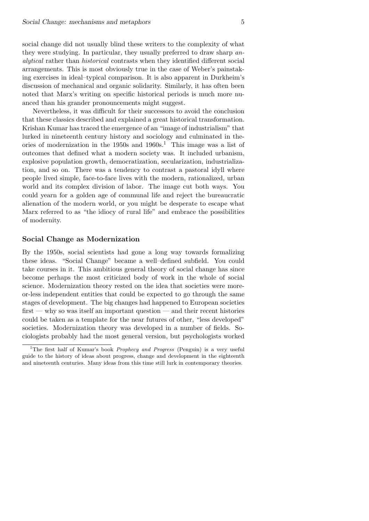social change did not usually blind these writers to the complexity of what they were studying. In particular, they usually preferred to draw sharp analytical rather than historical contrasts when they identified different social arrangements. This is most obviously true in the case of Weber's painstaking exercises in ideal–typical comparison. It is also apparent in Durkheim's discussion of mechanical and organic solidarity. Similarly, it has often been noted that Marx's writing on specific historical periods is much more nuanced than his grander pronouncements might suggest.

Nevertheless, it was difficult for their successors to avoid the conclusion that these classics described and explained a great historical transformation. Krishan Kumar has traced the emergence of an "image of industrialism" that lurked in nineteenth century history and sociology and culminated in theories of modernization in the  $1950s$  and  $1960s<sup>1</sup>$ . This image was a list of outcomes that defined what a modern society was. It included urbanism, explosive population growth, democratization, secularization, industrialization, and so on. There was a tendency to contrast a pastoral idyll where people lived simple, face-to-face lives with the modern, rationalized, urban world and its complex division of labor. The image cut both ways. You could yearn for a golden age of communal life and reject the bureaucratic alienation of the modern world, or you might be desperate to escape what Marx referred to as "the idiocy of rural life" and embrace the possibilities of modernity.

### Social Change as Modernization

By the 1950s, social scientists had gone a long way towards formalizing these ideas. "Social Change" became a well–defined subfield. You could take courses in it. This ambitious general theory of social change has since become perhaps the most criticized body of work in the whole of social science. Modernization theory rested on the idea that societies were moreor-less independent entities that could be expected to go through the same stages of development. The big changes had happened to European societies first — why so was itself an important question — and their recent histories could be taken as a template for the near futures of other, "less developed" societies. Modernization theory was developed in a number of fields. Sociologists probably had the most general version, but psychologists worked

<sup>&</sup>lt;sup>1</sup>The first half of Kumar's book *Prophecy and Progress* (Penguin) is a very useful guide to the history of ideas about progress, change and development in the eighteenth and nineteenth centuries. Many ideas from this time still lurk in contemporary theories.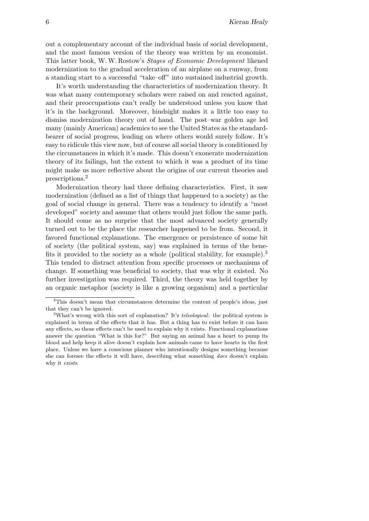out a complementary account of the individual basis of social development, and the most famous version of the theory was written by an economist. This latter book, W.W. Rostow's Stages of Economic Development likened modernization to the gradual acceleration of an airplane on a runway, from a standing start to a successful "take–off" into sustained industrial growth.

It's worth understanding the characteristics of modernization theory. It was what many contemporary scholars were raised on and reacted against, and their preoccupations can't really be understood unless you know that it's in the background. Moreover, hindsight makes it a little too easy to dismiss modernization theory out of hand. The post–war golden age led many (mainly American) academics to see the United States as the standardbearer of social progress, leading on where others would surely follow. It's easy to ridicule this view now, but of course all social theory is conditioned by the circumstances in which it's made. This doesn't exonerate modernization theory of its failings, but the extent to which it was a product of its time might make us more reflective about the origins of our current theories and prescriptions.<sup>2</sup>

Modernization theory had three defining characteristics. First, it saw modernization (defined as a list of things that happened to a society) as the goal of social change in general. There was a tendency to identify a "most developed" society and assume that others would just follow the same path. It should come as no surprise that the most advanced society generally turned out to be the place the researcher happened to be from. Second, it favored functional explanations. The emergence or persistence of some bit of society (the political system, say) was explained in terms of the benefits it provided to the society as a whole (political stability, for example).<sup>3</sup> This tended to distract attention from specific processes or mechanisms of change. If something was beneficial to society, that was why it existed. No further investigation was required. Third, the theory was held together by an organic metaphor (society is like a growing organism) and a particular

<sup>&</sup>lt;sup>2</sup>This doesn't mean that circumstances determine the content of people's ideas, just that they can't be ignored.

<sup>&</sup>lt;sup>3</sup>What's wrong with this sort of explanation? It's *teleological*: the political system is explained in terms of the effects that it has. But a thing has to exist before it can have any effects, so those effects can't be used to explain why it exists. Functional explanations answer the question "What is this for?" But saying an animal has a heart to pump its blood and help keep it alive doesn't explain how animals came to have hearts in the first place. Unless we have a conscious planner who intentionally designs something because she can foresee the effects it will have, describing what something does doesn't explain why it exists.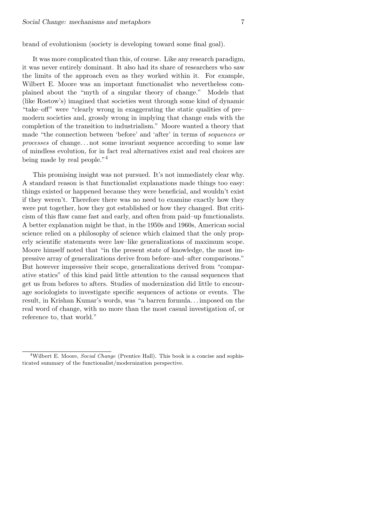brand of evolutionism (society is developing toward some final goal).

It was more complicated than this, of course. Like any research paradigm, it was never entirely dominant. It also had its share of researchers who saw the limits of the approach even as they worked within it. For example, Wilbert E. Moore was an important functionalist who nevertheless complained about the "myth of a singular theory of change." Models that (like Rostow's) imagined that societies went through some kind of dynamic "take–off" were "clearly wrong in exaggerating the static qualities of pre– modern societies and, grossly wrong in implying that change ends with the completion of the transition to industrialism." Moore wanted a theory that made "the connection between 'before' and 'after' in terms of sequences or processes of change. . . not some invariant sequence according to some law of mindless evolution, for in fact real alternatives exist and real choices are being made by real people."<sup>4</sup>

This promising insight was not pursued. It's not immediately clear why. A standard reason is that functionalist explanations made things too easy: things existed or happened because they were beneficial, and wouldn't exist if they weren't. Therefore there was no need to examine exactly how they were put together, how they got established or how they changed. But criticism of this flaw came fast and early, and often from paid–up functionalists. A better explanation might be that, in the 1950s and 1960s, American social science relied on a philosophy of science which claimed that the only properly scientific statements were law–like generalizations of maximum scope. Moore himself noted that "in the present state of knowledge, the most impressive array of generalizations derive from before–and–after comparisons." But however impressive their scope, generalizations derived from "comparative statics" of this kind paid little attention to the causal sequences that get us from befores to afters. Studies of modernization did little to encourage sociologists to investigate specific sequences of actions or events. The result, in Krishan Kumar's words, was "a barren formula. . . imposed on the real word of change, with no more than the most casual investigation of, or reference to, that world."

<sup>&</sup>lt;sup>4</sup>Wilbert E. Moore, *Social Change* (Prentice Hall). This book is a concise and sophisticated summary of the functionalist/modernization perspective.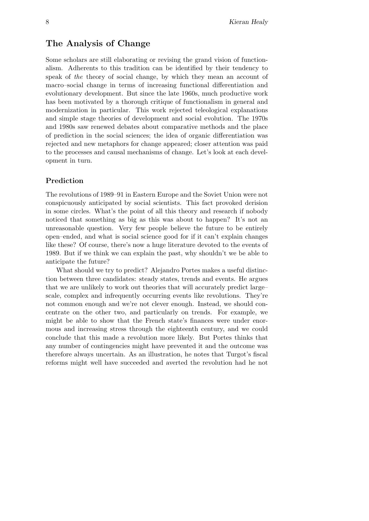# The Analysis of Change

Some scholars are still elaborating or revising the grand vision of functionalism. Adherents to this tradition can be identified by their tendency to speak of the theory of social change, by which they mean an account of macro–social change in terms of increasing functional differentiation and evolutionary development. But since the late 1960s, much productive work has been motivated by a thorough critique of functionalism in general and modernization in particular. This work rejected teleological explanations and simple stage theories of development and social evolution. The 1970s and 1980s saw renewed debates about comparative methods and the place of prediction in the social sciences; the idea of organic differentiation was rejected and new metaphors for change appeared; closer attention was paid to the processes and causal mechanisms of change. Let's look at each development in turn.

# Prediction

The revolutions of 1989–91 in Eastern Europe and the Soviet Union were not conspicuously anticipated by social scientists. This fact provoked derision in some circles. What's the point of all this theory and research if nobody noticed that something as big as this was about to happen? It's not an unreasonable question. Very few people believe the future to be entirely open–ended, and what is social science good for if it can't explain changes like these? Of course, there's now a huge literature devoted to the events of 1989. But if we think we can explain the past, why shouldn't we be able to anticipate the future?

What should we try to predict? Alejandro Portes makes a useful distinction between three candidates: steady states, trends and events. He argues that we are unlikely to work out theories that will accurately predict large– scale, complex and infrequently occurring events like revolutions. They're not common enough and we're not clever enough. Instead, we should concentrate on the other two, and particularly on trends. For example, we might be able to show that the French state's finances were under enormous and increasing stress through the eighteenth century, and we could conclude that this made a revolution more likely. But Portes thinks that any number of contingencies might have prevented it and the outcome was therefore always uncertain. As an illustration, he notes that Turgot's fiscal reforms might well have succeeded and averted the revolution had he not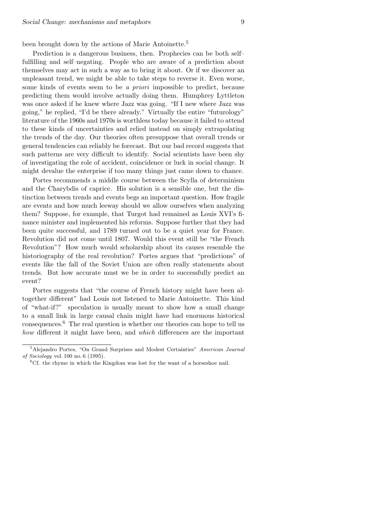been brought down by the actions of Marie Antoinette.<sup>5</sup>

Prediction is a dangerous business, then. Prophecies can be both selffulfilling and self–negating. People who are aware of a prediction about themselves may act in such a way as to bring it about. Or if we discover an unpleasant trend, we might be able to take steps to reverse it. Even worse, some kinds of events seem to be a priori impossible to predict, because predicting them would involve actually doing them. Humphrey Lyttleton was once asked if he knew where Jazz was going. "If I new where Jazz was going," he replied, "I'd be there already." Virtually the entire "futurology" literature of the 1960s and 1970s is worthless today because it failed to attend to these kinds of uncertainties and relied instead on simply extrapolating the trends of the day. Our theories often presuppose that overall trends or general tendencies can reliably be forecast. But our bad record suggests that such patterns are very difficult to identify. Social scientists have been shy of investigating the role of accident, coincidence or luck in social change. It might devalue the enterprise if too many things just came down to chance.

Portes recommends a middle course between the Scylla of determinism and the Charybdis of caprice. His solution is a sensible one, but the distinction between trends and events begs an important question. How fragile are events and how much leeway should we allow ourselves when analyzing them? Suppose, for example, that Turgot had remained as Louis XVI's finance minister and implemented his reforms. Suppose further that they had been quite successful, and 1789 turned out to be a quiet year for France. Revolution did not come until 1807. Would this event still be "the French Revolution"? How much would scholarship about its causes resemble the historiography of the real revolution? Portes argues that "predictions" of events like the fall of the Soviet Union are often really statements about trends. But how accurate must we be in order to successfully predict an event?

Portes suggests that "the course of French history might have been altogether different" had Louis not listened to Marie Antoinette. This kind of "what-if?" speculation is usually meant to show how a small change to a small link in large causal chain might have had enormous historical consequences.<sup>6</sup> The real question is whether our theories can hope to tell us how different it might have been, and which differences are the important

<sup>&</sup>lt;sup>5</sup>Alejandro Portes, "On Grand Surprises and Modest Certainties" American Journal of Sociology vol. 100 no. 6 (1995).

 ${}^{6}$ Cf. the rhyme in which the Kingdom was lost for the want of a horseshoe nail.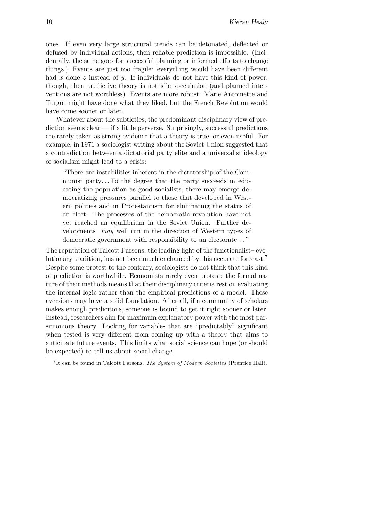ones. If even very large structural trends can be detonated, deflected or defused by individual actions, then reliable prediction is impossible. (Incidentally, the same goes for successful planning or informed efforts to change things.) Events are just too fragile: everything would have been different had  $x$  done  $z$  instead of  $y$ . If individuals do not have this kind of power, though, then predictive theory is not idle speculation (and planned interventions are not worthless). Events are more robust: Marie Antoinette and Turgot might have done what they liked, but the French Revolution would have come sooner or later.

Whatever about the subtleties, the predominant disciplinary view of prediction seems clear — if a little perverse. Surprisingly, successful predictions are rarely taken as strong evidence that a theory is true, or even useful. For example, in 1971 a sociologist writing about the Soviet Union suggested that a contradiction between a dictatorial party elite and a universalist ideology of socialism might lead to a crisis:

"There are instabilities inherent in the dictatorship of the Communist party. . . To the degree that the party succeeds in educating the population as good socialists, there may emerge democratizing pressures parallel to those that developed in Western polities and in Protestantism for eliminating the status of an elect. The processes of the democratic revolution have not yet reached an equilibrium in the Soviet Union. Further developments may well run in the direction of Western types of democratic government with responsibility to an electorate. . . "

The reputation of Talcott Parsons, the leading light of the functionalist– evolutionary tradition, has not been much enchanced by this accurate forecast.<sup>7</sup> Despite some protest to the contrary, sociologists do not think that this kind of prediction is worthwhile. Economists rarely even protest: the formal nature of their methods means that their disciplinary criteria rest on evaluating the internal logic rather than the empirical predictions of a model. These aversions may have a solid foundation. After all, if a community of scholars makes enough predicitons, someone is bound to get it right sooner or later. Instead, researchers aim for maximum explanatory power with the most parsimonious theory. Looking for variables that are "predictably" significant when tested is very different from coming up with a theory that aims to anticipate future events. This limits what social science can hope (or should be expected) to tell us about social change.

<sup>&</sup>lt;sup>7</sup>It can be found in Talcott Parsons, *The System of Modern Societies* (Prentice Hall).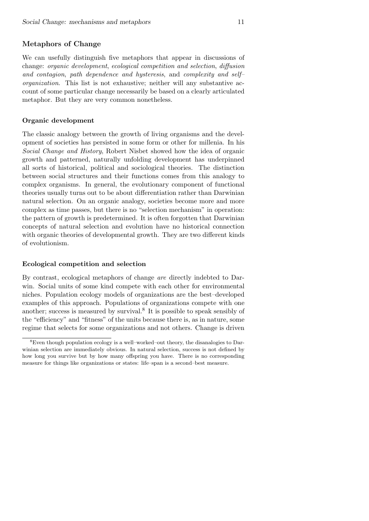# Metaphors of Change

We can usefully distinguish five metaphors that appear in discussions of change: organic development, ecological competition and selection, diffusion and contagion, path dependence and hysteresis, and complexity and self– organization. This list is not exhaustive; neither will any substantive account of some particular change necessarily be based on a clearly articulated metaphor. But they are very common nonetheless.

## Organic development

The classic analogy between the growth of living organisms and the development of societies has persisted in some form or other for millenia. In his Social Change and History, Robert Nisbet showed how the idea of organic growth and patterned, naturally unfolding development has underpinned all sorts of historical, political and sociological theories. The distinction between social structures and their functions comes from this analogy to complex organisms. In general, the evolutionary component of functional theories usually turns out to be about differentiation rather than Darwinian natural selection. On an organic analogy, societies become more and more complex as time passes, but there is no "selection mechanism" in operation: the pattern of growth is predetermined. It is often forgotten that Darwinian concepts of natural selection and evolution have no historical connection with organic theories of developmental growth. They are two different kinds of evolutionism.

#### Ecological competition and selection

By contrast, ecological metaphors of change are directly indebted to Darwin. Social units of some kind compete with each other for environmental niches. Population ecology models of organizations are the best–developed examples of this approach. Populations of organizations compete with one another; success is measured by survival.<sup>8</sup> It is possible to speak sensibly of the "efficiency" and "fitness" of the units because there is, as in nature, some regime that selects for some organizations and not others. Change is driven

<sup>8</sup>Even though population ecology is a well–worked–out theory, the disanalogies to Darwinian selection are immediately obvious. In natural selection, success is not defined by how long you survive but by how many offspring you have. There is no corresponding measure for things like organizations or states: life–span is a second–best measure.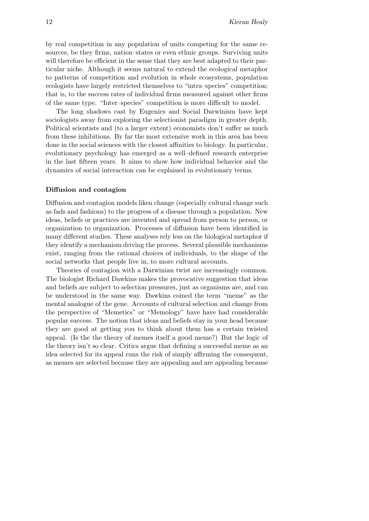by real competition in any population of units competing for the same resources, be they firms, nation–states or even ethnic groups. Surviving units will therefore be efficient in the sense that they are best adapted to their particular niche. Although it seems natural to extend the ecological metaphor to patterns of competition and evolution in whole ecosystems, population ecologists have largely restricted themselves to "intra–species" competition; that is, to the success rates of individual firms measured against other firms of the same type. "Inter–species" competition is more difficult to model.

The long shadows cast by Eugenics and Social Darwinism have kept sociologists away from exploring the selectionist paradigm in greater depth. Political scientists and (to a larger extent) economists don't suffer as much from these inhibitions. By far the most extensive work in this area has been done in the social sciences with the closest affinities to biology. In particular, evolutionary psychology has emerged as a well–defined research enterprise in the last fifteen years. It aims to show how individual behavior and the dynamics of social interaction can be explained in evolutionary terms.

#### Diffusion and contagion

Diffusion and contagion models liken change (especially cultural change such as fads and fashions) to the progress of a disease through a population. New ideas, beliefs or practices are invented and spread from person to person, or organization to organization. Processes of diffusion have been identified in many different studies. These analyses rely less on the biological metaphor if they identify a mechanism driving the process. Several plausible mechanisms exist, ranging from the rational choices of individuals, to the shape of the social networks that people live in, to more cultural accounts.

Theories of contagion with a Darwinian twist are increasingly common. The biologist Richard Dawkins makes the provocative suggestion that ideas and beliefs are subject to selection pressures, just as organisms are, and can be understood in the same way. Dawkins coined the term "meme" as the mental analogue of the gene. Accounts of cultural selection and change from the perspective of "Memetics" or "Memology" have have had considerable popular success. The notion that ideas and beliefs stay in your head because they are good at getting you to think about them has a certain twisted appeal. (Is the the theory of memes itself a good meme?) But the logic of the theory isn't so clear. Critics argue that defining a successful meme as an idea selected for its appeal runs the risk of simply affirming the consequent, as memes are selected because they are appealing and are appealing because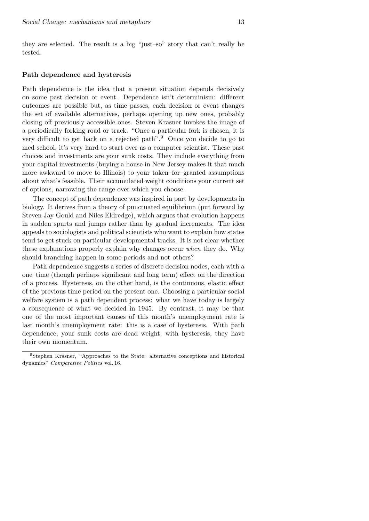they are selected. The result is a big "just–so" story that can't really be tested.

#### Path dependence and hysteresis

Path dependence is the idea that a present situation depends decisively on some past decision or event. Dependence isn't determinism: different outcomes are possible but, as time passes, each decision or event changes the set of available alternatives, perhaps opening up new ones, probably closing off previously accessible ones. Steven Krasner invokes the image of a periodically forking road or track. "Once a particular fork is chosen, it is very difficult to get back on a rejected path".<sup>9</sup> Once you decide to go to med school, it's very hard to start over as a computer scientist. These past choices and investments are your sunk costs. They include everything from your capital investments (buying a house in New Jersey makes it that much more awkward to move to Illinois) to your taken–for–granted assumptions about what's feasible. Their accumulated weight conditions your current set of options, narrowing the range over which you choose.

The concept of path dependence was inspired in part by developments in biology. It derives from a theory of punctuated equilibrium (put forward by Steven Jay Gould and Niles Eldredge), which argues that evolution happens in sudden spurts and jumps rather than by gradual increments. The idea appeals to sociologists and political scientists who want to explain how states tend to get stuck on particular developmental tracks. It is not clear whether these explanations properly explain why changes occur when they do. Why should branching happen in some periods and not others?

Path dependence suggests a series of discrete decision nodes, each with a one–time (though perhaps significant and long term) effect on the direction of a process. Hysteresis, on the other hand, is the continuous, elastic effect of the previous time period on the present one. Choosing a particular social welfare system is a path dependent process: what we have today is largely a consequence of what we decided in 1945. By contrast, it may be that one of the most important causes of this month's unemployment rate is last month's unemployment rate: this is a case of hysteresis. With path dependence, your sunk costs are dead weight; with hysteresis, they have their own momentum.

<sup>9</sup>Stephen Krasner, "Approaches to the State: alternative conceptions and historical dynamics" Comparative Politics vol. 16.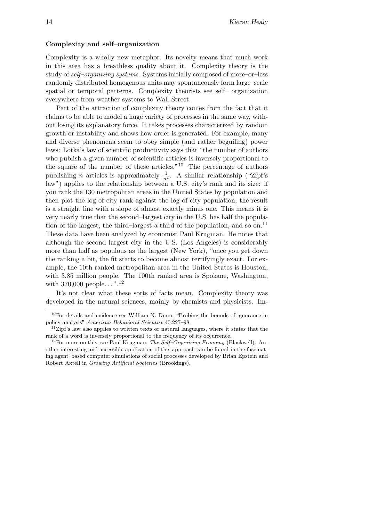### Complexity and self–organization

Complexity is a wholly new metaphor. Its novelty means that much work in this area has a breathless quality about it. Complexity theory is the study of self–organizing systems. Systems initially composed of more–or–less randomly distributed homogenous units may spontaneously form large–scale spatial or temporal patterns. Complexity theorists see self– organization everywhere from weather systems to Wall Street.

Part of the attraction of complexity theory comes from the fact that it claims to be able to model a huge variety of processes in the same way, without losing its explanatory force. It takes processes characterized by random growth or instability and shows how order is generated. For example, many and diverse phenomena seem to obey simple (and rather beguiling) power laws: Lotka's law of scientific productivity says that "the number of authors who publish a given number of scientific articles is inversely proportional to the square of the number of these articles."<sup>10</sup> The percentage of authors publishing *n* articles is approximately  $\frac{1}{n^2}$ . A similar relationship ("Zipf's law") applies to the relationship between a U.S. city's rank and its size: if you rank the 130 metropolitan areas in the United States by population and then plot the log of city rank against the log of city population, the result is a straight line with a slope of almost exactly minus one. This means it is very nearly true that the second–largest city in the U.S. has half the population of the largest, the third–largest a third of the population, and so on.<sup>11</sup> These data have been analyzed by economist Paul Krugman. He notes that although the second largest city in the U.S. (Los Angeles) is considerably more than half as populous as the largest (New York), "once you get down the ranking a bit, the fit starts to become almost terrifyingly exact. For example, the 10th ranked metropolitan area in the United States is Houston, with 3.85 million people. The 100th ranked area is Spokane, Washington, with  $370,000$  people...".<sup>12</sup>

It's not clear what these sorts of facts mean. Complexity theory was developed in the natural sciences, mainly by chemists and physicists. Im-

<sup>10</sup>For details and evidence see William N. Dunn, "Probing the bounds of ignorance in policy analysis" American Behavioral Scientist 40:227–98.

 $112$ ipf's law also applies to written texts or natural languages, where it states that the rank of a word is inversely proportional to the frequency of its occurrence.

 $12$ For more on this, see Paul Krugman, The Self-Organizing Economy (Blackwell). Another interesting and accessible application of this approach can be found in the fascinating agent–based computer simulations of social processes developed by Brian Epstein and Robert Axtell in Growing Artificial Societies (Brookings).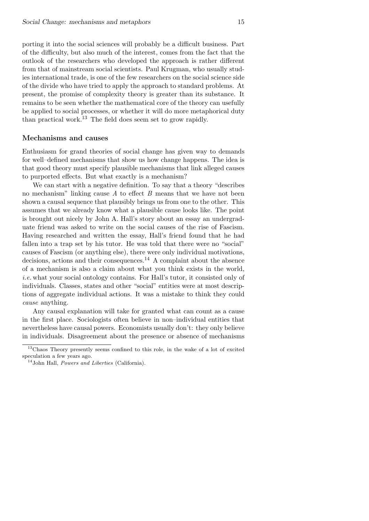porting it into the social sciences will probably be a difficult business. Part of the difficulty, but also much of the interest, comes from the fact that the outlook of the researchers who developed the approach is rather different from that of mainstream social scientists. Paul Krugman, who usually studies international trade, is one of the few researchers on the social science side of the divide who have tried to apply the approach to standard problems. At present, the promise of complexity theory is greater than its substance. It remains to be seen whether the mathematical core of the theory can usefully be applied to social processes, or whether it will do more metaphorical duty than practical work.<sup>13</sup> The field does seem set to grow rapidly.

# Mechanisms and causes

Enthusiasm for grand theories of social change has given way to demands for well–defined mechanisms that show us how change happens. The idea is that good theory must specify plausible mechanisms that link alleged causes to purported effects. But what exactly is a mechanism?

We can start with a negative definition. To say that a theory "describes no mechanism" linking cause  $A$  to effect  $B$  means that we have not been shown a causal sequence that plausibly brings us from one to the other. This assumes that we already know what a plausible cause looks like. The point is brought out nicely by John A. Hall's story about an essay an undergraduate friend was asked to write on the social causes of the rise of Fascism. Having researched and written the essay, Hall's friend found that he had fallen into a trap set by his tutor. He was told that there were no "social" causes of Fascism (or anything else), there were only individual motivations, decisions, actions and their consequences.<sup>14</sup> A complaint about the absence of a mechanism is also a claim about what you think exists in the world, i.e. what your social ontology contains. For Hall's tutor, it consisted only of individuals. Classes, states and other "social" entities were at most descriptions of aggregate individual actions. It was a mistake to think they could cause anything.

Any causal explanation will take for granted what can count as a cause in the first place. Sociologists often believe in non–individual entities that nevertheless have causal powers. Economists usually don't: they only believe in individuals. Disagreement about the presence or absence of mechanisms

<sup>&</sup>lt;sup>13</sup>Chaos Theory presently seems confined to this role, in the wake of a lot of excited speculation a few years ago.

 $14$ John Hall, *Powers and Liberties* (California).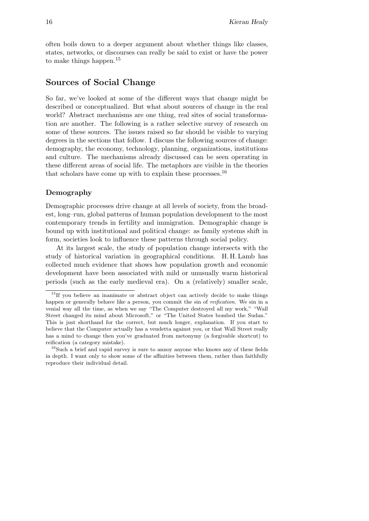often boils down to a deeper argument about whether things like classes, states, networks, or discourses can really be said to exist or have the power to make things happen.<sup>15</sup>

# Sources of Social Change

So far, we've looked at some of the different ways that change might be described or conceptualized. But what about sources of change in the real world? Abstract mechanisms are one thing, real sites of social transformation are another. The following is a rather selective survey of research on some of these sources. The issues raised so far should be visible to varying degrees in the sections that follow. I discuss the following sources of change: demography, the economy, technology, planning, organizations, institutions and culture. The mechanisms already discussed can be seen operating in these different areas of social life. The metaphors are visible in the theories that scholars have come up with to explain these processes.<sup>16</sup>

# Demography

Demographic processes drive change at all levels of society, from the broadest, long–run, global patterns of human population development to the most contemporary trends in fertility and immigration. Demographic change is bound up with institutional and political change: as family systems shift in form, societies look to influence these patterns through social policy.

At its largest scale, the study of population change intersects with the study of historical variation in geographical conditions. H. H. Lamb has collected much evidence that shows how population growth and economic development have been associated with mild or unusually warm historical periods (such as the early medieval era). On a (relatively) smaller scale,

 $15$ If you believe an inanimate or abstract object can actively decide to make things happen or generally behave like a person, you commit the sin of *reification*. We sin in a venial way all the time, as when we say "The Computer destroyed all my work," "Wall Street changed its mind about Microsoft," or "The United States bombed the Sudan." This is just shorthand for the correct, but much longer, explanation. If you start to believe that the Computer actually has a vendetta against you, or that Wall Street really has a mind to change then you've graduated from metonymy (a forgivable shortcut) to reification (a category mistake).

<sup>&</sup>lt;sup>16</sup>Such a brief and rapid survey is sure to annoy anyone who knows any of these fields in depth. I want only to show some of the affinities between them, rather than faithfully reproduce their individual detail.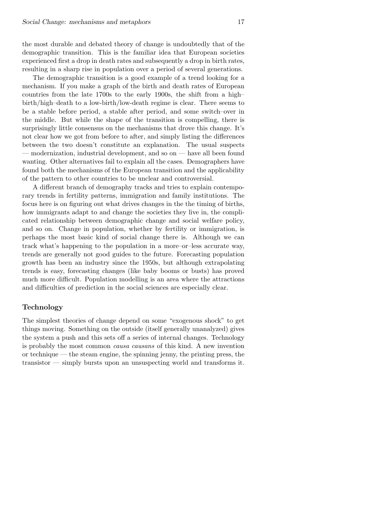the most durable and debated theory of change is undoubtedly that of the demographic transition. This is the familiar idea that European societies experienced first a drop in death rates and subsequently a drop in birth rates, resulting in a sharp rise in population over a period of several generations.

The demographic transition is a good example of a trend looking for a mechanism. If you make a graph of the birth and death rates of European countries from the late 1700s to the early 1900s, the shift from a high– birth/high–death to a low-birth/low-death regime is clear. There seems to be a stable before period, a stable after period, and some switch–over in the middle. But while the shape of the transition is compelling, there is surprisingly little consensus on the mechanisms that drove this change. It's not clear how we got from before to after, and simply listing the differences between the two doesn't constitute an explanation. The usual suspects — modernization, industrial development, and so on — have all been found wanting. Other alternatives fail to explain all the cases. Demographers have found both the mechanisms of the European transition and the applicability of the pattern to other countries to be unclear and controversial.

A different branch of demography tracks and tries to explain contemporary trends in fertility patterns, immigration and family institutions. The focus here is on figuring out what drives changes in the the timing of births, how immigrants adapt to and change the societies they live in, the complicated relationship between demographic change and social welfare policy, and so on. Change in population, whether by fertility or immigration, is perhaps the most basic kind of social change there is. Although we can track what's happening to the population in a more–or–less accurate way, trends are generally not good guides to the future. Forecasting population growth has been an industry since the 1950s, but although extrapolating trends is easy, forecasting changes (like baby booms or busts) has proved much more difficult. Population modelling is an area where the attractions and difficulties of prediction in the social sciences are especially clear.

# Technology

The simplest theories of change depend on some "exogenous shock" to get things moving. Something on the outside (itself generally unanalyzed) gives the system a push and this sets off a series of internal changes. Technology is probably the most common causa causans of this kind. A new invention or technique — the steam engine, the spinning jenny, the printing press, the transistor — simply bursts upon an unsuspecting world and transforms it.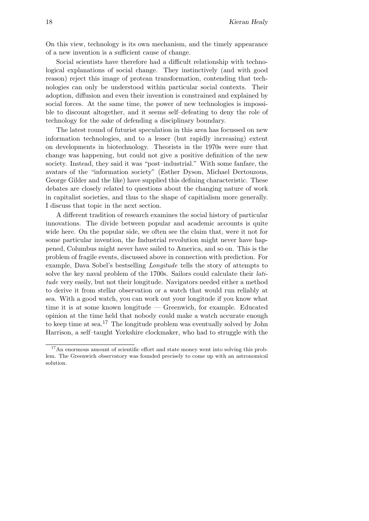On this view, technology is its own mechanism, and the timely appearance of a new invention is a sufficient cause of change.

Social scientists have therefore had a difficult relationship with technological explanations of social change. They instinctively (and with good reason) reject this image of protean transformation, contending that technologies can only be understood within particular social contexts. Their adoption, diffusion and even their invention is constrained and explained by social forces. At the same time, the power of new technologies is impossible to discount altogether, and it seems self–defeating to deny the role of technology for the sake of defending a disciplinary boundary.

The latest round of futurist speculation in this area has focussed on new information technologies, and to a lesser (but rapidly increasing) extent on developments in biotechnology. Theorists in the 1970s were sure that change was happening, but could not give a positive definition of the new society. Instead, they said it was "post–industrial." With some fanfare, the avatars of the "information society" (Esther Dyson, Michael Dertouzous, George Gilder and the like) have supplied this defining characteristic. These debates are closely related to questions about the changing nature of work in capitalist societies, and thus to the shape of capitialism more generally. I discuss that topic in the next section.

A different tradition of research examines the social history of particular innovations. The divide between popular and academic accounts is quite wide here. On the popular side, we often see the claim that, were it not for some particular invention, the Industrial revolution might never have happened, Columbus might never have sailed to America, and so on. This is the problem of fragile events, discussed above in connection with prediction. For example, Dava Sobel's bestselling Longitude tells the story of attempts to solve the key naval problem of the 1700s. Sailors could calculate their latitude very easily, but not their longitude. Navigators needed either a method to derive it from stellar observation or a watch that would run reliably at sea. With a good watch, you can work out your longitude if you know what time it is at some known longitude — Greenwich, for example. Educated opinion at the time held that nobody could make a watch accurate enough to keep time at sea.<sup>17</sup> The longitude problem was eventually solved by John Harrison, a self–taught Yorkshire clockmaker, who had to struggle with the

<sup>&</sup>lt;sup>17</sup>An enormous amount of scientific effort and state money went into solving this problem. The Greenwich observatory was founded precisely to come up with an astronomical solution.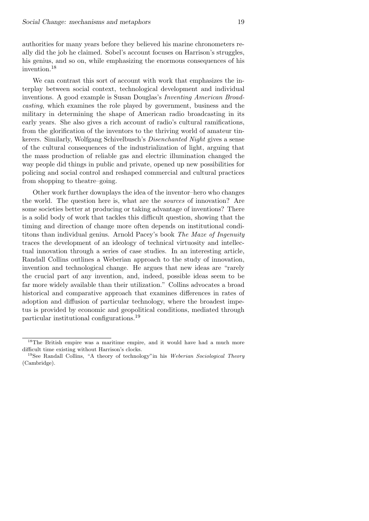his genius, and so on, while emphasizing the enormous consequences of his invention.<sup>18</sup> We can contrast this sort of account with work that emphasizes the interplay between social context, technological development and individual inventions. A good example is Susan Douglas's Inventing American Broadcasting, which examines the role played by government, business and the military in determining the shape of American radio broadcasting in its early years. She also gives a rich account of radio's cultural ramifications, from the glorification of the inventors to the thriving world of amateur tin-

kerers. Similarly, Wolfgang Schivelbusch's Disenchanted Night gives a sense of the cultural consequences of the industrialization of light, arguing that the mass production of reliable gas and electric illumination changed the way people did things in public and private, opened up new possibilities for policing and social control and reshaped commercial and cultural practices from shopping to theatre–going.

Other work further downplays the idea of the inventor–hero who changes the world. The question here is, what are the sources of innovation? Are some societies better at producing or taking advantage of inventions? There is a solid body of work that tackles this difficult question, showing that the timing and direction of change more often depends on institutional condititons than individual genius. Arnold Pacey's book The Maze of Ingenuity traces the development of an ideology of technical virtuosity and intellectual innovation through a series of case studies. In an interesting article, Randall Collins outlines a Weberian approach to the study of innovation, invention and technological change. He argues that new ideas are "rarely the crucial part of any invention, and, indeed, possible ideas seem to be far more widely available than their utilization." Collins advocates a broad historical and comparative approach that examines differences in rates of adoption and diffusion of particular technology, where the broadest impetus is provided by economic and geopolitical conditions, mediated through particular institutional configurations.<sup>19</sup>

<sup>&</sup>lt;sup>18</sup>The British empire was a maritime empire, and it would have had a much more difficult time existing without Harrison's clocks.

<sup>&</sup>lt;sup>19</sup>See Randall Collins, "A theory of technology" in his Weberian Sociological Theory (Cambridge).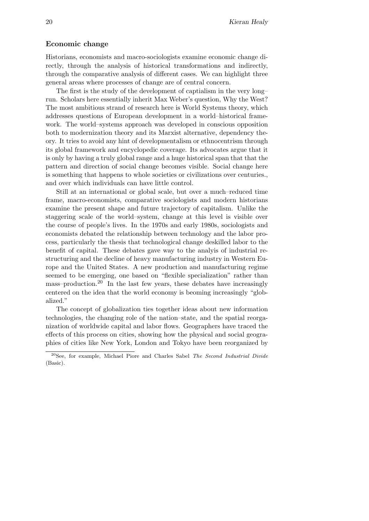## Economic change

Historians, economists and macro-sociologists examine economic change directly, through the analysis of historical transformations and indirectly, through the comparative analysis of different cases. We can highlight three general areas where processes of change are of central concern.

The first is the study of the development of captialism in the very long– run. Scholars here essentially inherit Max Weber's question, Why the West? The most ambitious strand of research here is World Systems theory, which addresses questions of European development in a world–historical framework. The world–systems approach was developed in conscious opposition both to modernization theory and its Marxist alternative, dependency theory. It tries to avoid any hint of developmentalism or ethnocentrism through its global framework and encyclopedic coverage. Its advocates argue that it is only by having a truly global range and a huge historical span that that the pattern and direction of social change becomes visible. Social change here is something that happens to whole societies or civilizations over centuries., and over which individuals can have little control.

Still at an international or global scale, but over a much–reduced time frame, macro-economists, comparative sociologists and modern historians examine the present shape and future trajectory of capitalism. Unlike the staggering scale of the world–system, change at this level is visible over the course of people's lives. In the 1970s and early 1980s, sociologists and economists debated the relationship between technology and the labor process, particularly the thesis that technological change deskilled labor to the benefit of capital. These debates gave way to the analyis of industrial restructuring and the decline of heavy manufacturing industry in Western Europe and the United States. A new production and manufacturing regime seemed to be emerging, one based on "flexible specialization" rather than mass–production.<sup>20</sup> In the last few years, these debates have increasingly centered on the idea that the world economy is beoming increasingly "globalized."

The concept of globalization ties together ideas about new information technologies, the changing role of the nation–state, and the spatial reorganization of worldwide capital and labor flows. Geographers have traced the effects of this process on cities, showing how the physical and social geographies of cities like New York, London and Tokyo have been reorganized by

 $20$ See, for example, Michael Piore and Charles Sabel The Second Industrial Divide (Basic).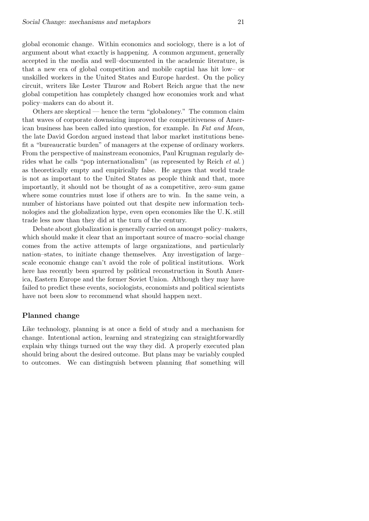global economic change. Within economics and sociology, there is a lot of argument about what exactly is happening. A common argument, generally accepted in the media and well–documented in the academic literature, is that a new era of global competition and mobile captial has hit low– or unskilled workers in the United States and Europe hardest. On the policy circuit, writers like Lester Thurow and Robert Reich argue that the new global competition has completely changed how economies work and what policy–makers can do about it.

Others are skeptical — hence the term "globaloney." The common claim that waves of corporate downsizing improved the competitiveness of American business has been called into question, for example. In Fat and Mean, the late David Gordon argued instead that labor market institutions benefit a "bureaucratic burden" of managers at the expense of ordinary workers. From the perspective of mainstream economics, Paul Krugman regularly derides what he calls "pop internationalism" (as represented by Reich et al.) as theoretically empty and empirically false. He argues that world trade is not as important to the United States as people think and that, more importantly, it should not be thought of as a competitive, zero–sum game where some countries must lose if others are to win. In the same vein, a number of historians have pointed out that despite new information technologies and the globalization hype, even open economies like the U. K. still trade less now than they did at the turn of the century.

Debate about globalization is generally carried on amongst policy–makers, which should make it clear that an important source of macro–social change comes from the active attempts of large organizations, and particularly nation–states, to initiate change themselves. Any investigation of large– scale economic change can't avoid the role of political institutions. Work here has recently been spurred by political reconstruction in South America, Eastern Europe and the former Soviet Union. Although they may have failed to predict these events, sociologists, economists and political scientists have not been slow to recommend what should happen next.

## Planned change

Like technology, planning is at once a field of study and a mechanism for change. Intentional action, learning and strategizing can straightforwardly explain why things turned out the way they did. A properly executed plan should bring about the desired outcome. But plans may be variably coupled to outcomes. We can distinguish between planning that something will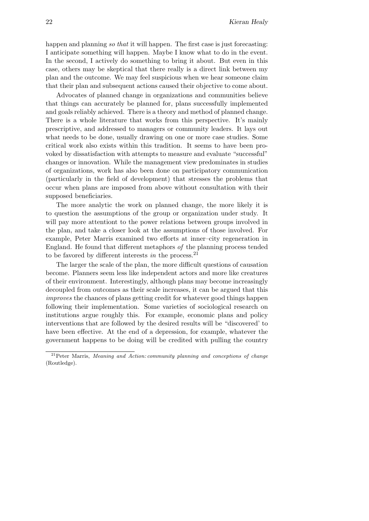happen and planning so that it will happen. The first case is just forecasting: I anticipate something will happen. Maybe I know what to do in the event. In the second, I actively do something to bring it about. But even in this case, others may be skeptical that there really is a direct link between my plan and the outcome. We may feel suspicious when we hear someone claim that their plan and subsequent actions caused their objective to come about.

Advocates of planned change in organizations and communities believe that things can accurately be planned for, plans successfully implemented and goals reliably achieved. There is a theory and method of planned change. There is a whole literature that works from this perspective. It's mainly prescriptive, and addressed to managers or community leaders. It lays out what needs to be done, usually drawing on one or more case studies. Some critical work also exists within this tradition. It seems to have been provoked by dissatisfaction with attempts to measure and evaluate "successful" changes or innovation. While the management view predominates in studies of organizations, work has also been done on participatory communication (particularly in the field of development) that stresses the problems that occur when plans are imposed from above without consultation with their supposed beneficiaries.

The more analytic the work on planned change, the more likely it is to question the assumptions of the group or organization under study. It will pay more attentiont to the power relations between groups involved in the plan, and take a closer look at the assumptions of those involved. For example, Peter Marris examined two efforts at inner–city regeneration in England. He found that different metaphors of the planning process tended to be favored by different interests in the process.<sup>21</sup>

The larger the scale of the plan, the more difficult questions of causation become. Planners seem less like independent actors and more like creatures of their environment. Interestingly, although plans may become increasingly decoupled from outcomes as their scale increases, it can be argued that this improves the chances of plans getting credit for whatever good things happen following their implementation. Some varieties of sociological research on institutions argue roughly this. For example, economic plans and policy interventions that are followed by the desired results will be "discovered' to have been effective. At the end of a depression, for example, whatever the government happens to be doing will be credited with pulling the country

<sup>&</sup>lt;sup>21</sup>Peter Marris, *Meaning and Action: community planning and conceptions of change* (Routledge).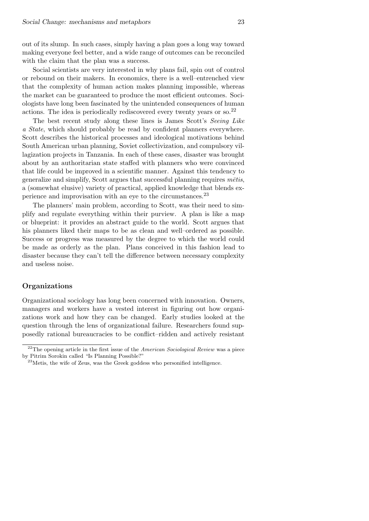out of its slump. In such cases, simply having a plan goes a long way toward making everyone feel better, and a wide range of outcomes can be reconciled with the claim that the plan was a success.

Social scientists are very interested in why plans fail, spin out of control or rebound on their makers. In economics, there is a well–entrenched view that the complexity of human action makes planning impossible, whereas the market can be guaranteed to produce the most efficient outcomes. Sociologists have long been fascinated by the unintended consequences of human actions. The idea is periodically rediscovered every twenty years or so.<sup>22</sup>

The best recent study along these lines is James Scott's Seeing Like a State, which should probably be read by confident planners everywhere. Scott describes the historical processes and ideological motivations behind South American urban planning, Soviet collectivization, and compulsory villagization projects in Tanzania. In each of these cases, disaster was brought about by an authoritarian state staffed with planners who were convinced that life could be improved in a scientific manner. Against this tendency to generalize and simplify, Scott argues that successful planning requires  $m\bar{e}t$ is, a (somewhat elusive) variety of practical, applied knowledge that blends experience and improvisation with an eye to the circumstances.<sup>23</sup>

The planners' main problem, according to Scott, was their need to simplify and regulate everything within their purview. A plan is like a map or blueprint: it provides an abstract guide to the world. Scott argues that his planners liked their maps to be as clean and well–ordered as possible. Success or progress was measured by the degree to which the world could be made as orderly as the plan. Plans conceived in this fashion lead to disaster because they can't tell the difference between necessary complexity and useless noise.

### Organizations

Organizational sociology has long been concerned with innovation. Owners, managers and workers have a vested interest in figuring out how organizations work and how they can be changed. Early studies looked at the question through the lens of organizational failure. Researchers found supposedly rational bureaucracies to be conflict–ridden and actively resistant

 $22$ The opening article in the first issue of the *American Sociological Review* was a piece by Pitrim Sorokin called "Is Planning Possible?"

 $^{23}$ Metis, the wife of Zeus, was the Greek goddess who personified intelligence.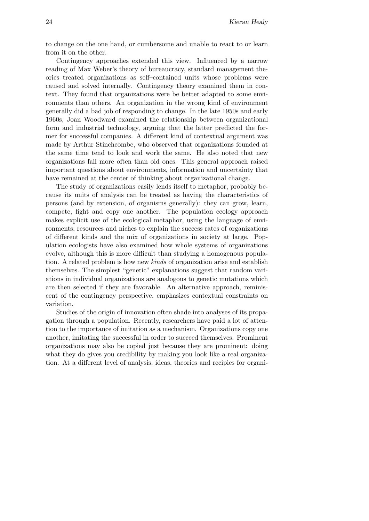to change on the one hand, or cumbersome and unable to react to or learn from it on the other.

Contingency approaches extended this view. Influenced by a narrow reading of Max Weber's theory of bureaucracy, standard management theories treated organizations as self–contained units whose problems were caused and solved internally. Contingency theory examined them in context. They found that organizations were be better adapted to some environments than others. An organization in the wrong kind of environment generally did a bad job of responding to change. In the late 1950s and early 1960s, Joan Woodward examined the relationship between organizational form and industrial technology, arguing that the latter predicted the former for successful companies. A different kind of contextual argument was made by Arthur Stinchcombe, who observed that organizations founded at the same time tend to look and work the same. He also noted that new organizations fail more often than old ones. This general approach raised important questions about environments, information and uncertainty that have remained at the center of thinking about organizational change.

The study of organizations easily lends itself to metaphor, probably because its units of analysis can be treated as having the characteristics of persons (and by extension, of organisms generally): they can grow, learn, compete, fight and copy one another. The population ecology approach makes explicit use of the ecological metaphor, using the language of environments, resources and niches to explain the success rates of organizations of different kinds and the mix of organizations in society at large. Population ecologists have also examined how whole systems of organizations evolve, although this is more difficult than studying a homogenous population. A related problem is how new kinds of organization arise and establish themselves. The simplest "genetic" explanations suggest that random variations in individual organizations are analogous to genetic mutations which are then selected if they are favorable. An alternative approach, reminiscent of the contingency perspective, emphasizes contextual constraints on variation.

Studies of the origin of innovation often shade into analyses of its propagation through a population. Recently, researchers have paid a lot of attention to the importance of imitation as a mechanism. Organizations copy one another, imitating the successful in order to succeed themselves. Prominent organizations may also be copied just because they are prominent: doing what they do gives you credibility by making you look like a real organization. At a different level of analysis, ideas, theories and recipies for organi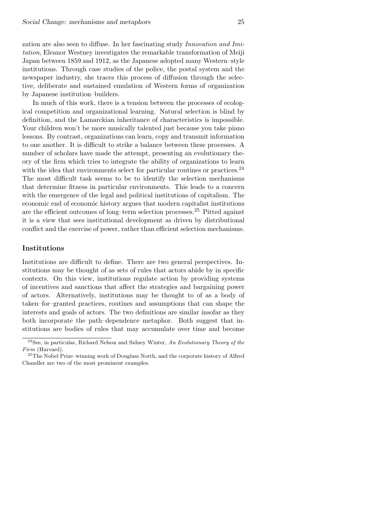zation are also seen to diffuse. In her fascinating study Innovation and Imitation, Eleanor Westney investigates the remarkable transformation of Meiji Japan between 1859 and 1912, as the Japanese adopted many Western–style institutions. Through case studies of the police, the postal system and the newspaper industry, she traces this process of diffusion through the selective, deliberate and sustained emulation of Western forms of organization by Japanese institution–builders.

In much of this work, there is a tension between the processes of ecological competition and organizational learning. Natural selection is blind by definition, and the Lamarckian inheritance of characteristics is impossible. Your children won't be more musically talented just because you take piano lessons. By contrast, organizations can learn, copy and transmit information to one another. It is difficult to strike a balance between these processes. A number of scholars have made the attempt, presenting an evolutionary theory of the firm which tries to integrate the ability of organizations to learn with the idea that environments select for particular routines or practices.<sup>24</sup> The most difficult task seems to be to identify the selection mechanisms that determine fitness in particular environments. This leads to a concern with the emergence of the legal and political institutions of capitalism. The economic end of economic history argues that modern capitalist institutions are the efficient outcomes of long–term selection processes.<sup>25</sup> Pitted against it is a view that sees institutional development as driven by distributional conflict and the exercise of power, rather than efficient selection mechanisms.

#### Institutions

Institutions are difficult to define. There are two general perspectives. Institutions may be thought of as sets of rules that actors abide by in specific contexts. On this view, institutions regulate action by providing systems of incentives and sanctions that affect the strategies and bargaining power of actors. Alternatively, institutions may be thought to of as a body of taken–for–granted practices, routines and assumptions that can shape the interests and goals of actors. The two definitions are similar insofar as they both incorporate the path–dependence metaphor. Both suggest that institutions are bodies of rules that may accumulate over time and become

 $^{24}$  See, in particular, Richard Nelson and Sidney Winter, An Evolutionary Theory of the Firm (Harvard).

<sup>25</sup>The Nobel Prize–winning work of Douglass North, and the corporate history of Alfred Chandler are two of the most prominent examples.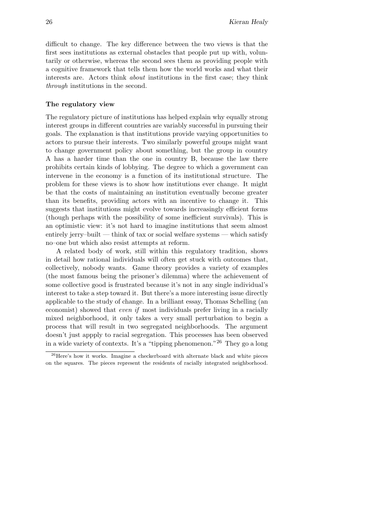difficult to change. The key difference between the two views is that the first sees institutions as external obstacles that people put up with, voluntarily or otherwise, whereas the second sees them as providing people with a cognitive framework that tells them how the world works and what their interests are. Actors think about institutions in the first case; they think through institutions in the second.

## The regulatory view

The regulatory picture of institutions has helped explain why equally strong interest groups in different countries are variably successful in pursuing their goals. The explanation is that institutions provide varying opportunities to actors to pursue their interests. Two similarly powerful groups might want to change government policy about something, but the group in country A has a harder time than the one in country B, because the law there prohibits certain kinds of lobbying. The degree to which a government can intervene in the economy is a function of its institutional structure. The problem for these views is to show how institutions ever change. It might be that the costs of maintaining an institution eventually become greater than its benefits, providing actors with an incentive to change it. This suggests that institutions might evolve towards increasingly efficient forms (though perhaps with the possibility of some inefficient survivals). This is an optimistic view: it's not hard to imagine institutions that seem almost entirely jerry–built — think of tax or social welfare systems — which satisfy no–one but which also resist attempts at reform.

A related body of work, still within this regulatory tradition, shows in detail how rational individuals will often get stuck with outcomes that, collectively, nobody wants. Game theory provides a variety of examples (the most famous being the prisoner's dilemma) where the achievement of some collective good is frustrated because it's not in any single individual's interest to take a step toward it. But there's a more interesting issue directly applicable to the study of change. In a brilliant essay, Thomas Schelling (an economist) showed that even if most individuals prefer living in a racially mixed neighborhood, it only takes a very small perturbation to begin a process that will result in two segregated neighborhoods. The argument doesn't just appply to racial segregation. This processes has been observed in a wide variety of contexts. It's a "tipping phenomenon."<sup>26</sup> They go a long

 $^{26}$ Here's how it works. Imagine a checkerboard with alternate black and white pieces on the squares. The pieces represent the residents of racially integrated neighborhood.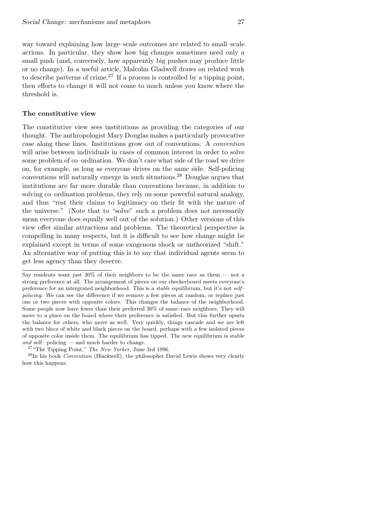way toward explaining how large–scale outcomes are related to small–scale actions. In particular, they show how big changes sometimes need only a small push (and, conversely, how apparently big pushes may produce little or no change). In a useful article, Malcolm Gladwell draws on related work to describe patterns of crime.<sup>27</sup> If a process is controlled by a tipping point, then efforts to change it will not come to much unless you know where the threshold is.

# The constitutive view

The constitutive view sees institutions as providing the categories of our thought. The anthropologist Mary Douglas makes a particularly provocative case along these lines. Institutions grow out of conventions. A convention will arise between individuals in cases of common interest in order to solve some problem of co–ordination. We don't care what side of the road we drive on, for example, as long as everyone drives on the same side. Self-policing conventions will naturally emerge in such situations.<sup>28</sup> Douglas argues that institutions are far more durable than conventions because, in addition to solving co–ordination problems, they rely on some powerful natural analogy, and thus "rest their claims to legitimacy on their fit with the nature of the universe." (Note that to "solve" such a problem does not necessarily mean everyone does equally well out of the solution.) Other versions of this view offer similar attractions and problems. The theoretical perspective is compelling in many respects, but it is difficult to see how change might be explained except in terms of some exogenous shock or untheorized "shift." An alternative way of putting this is to say that individual agents seem to get less agency than they deserve.

Say residents want just  $30\%$  of their neighbors to be the same race as them — not a strong preference at all. The arrangement of pieces on our checkerboard meets everyone's preference for an intergrated neighborhood. This is a stable equilibrium, but it's not self– policing. We can see the difference if we remove a few pieces at random, or replace just one or two pieces with opposite colors. This changes the balance of the neighborhood. Some people now have fewer than their preferred 30% of same–race neighbors. They will move to a place on the board where their preference is satisfied. But this further upsets the balance for others, who move as well. Very quickly, things cascade and we are left with two blocs of white and black pieces on the board, perhaps with a few isolated pieces of opposite color inside them. The equilibrium has tipped. The new equilibrium is stable and self– policing — and much harder to change.

<sup>&</sup>lt;sup>27</sup> "The Tipping Point," The New Yorker, June 3rd 1996.

 $^{28}$ In his book *Convention* (Blackwell), the philosopher David Lewis shows very clearly how this happens.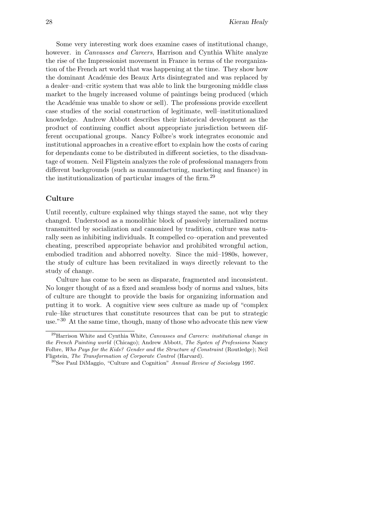Some very interesting work does examine cases of institutional change, however. in *Canvasses and Careers*, Harrison and Cynthia White analyze the rise of the Impressionist movement in France in terms of the reorganization of the French art world that was happening at the time. They show how the dominant Académie des Beaux Arts disintegrated and was replaced by a dealer–and–critic system that was able to link the burgeoning middle class market to the hugely increased volume of paintings being produced (which the Académie was unable to show or sell). The professions provide excellent case studies of the social construction of legitimate, well–institutionalized knowledge. Andrew Abbott describes their historical development as the product of continuing conflict about appropriate jurisdiction between different occupational groups. Nancy Folbre's work integrates economic and institutional approaches in a creative effort to explain how the costs of caring for dependants come to be distributed in different societies, to the disadvantage of women. Neil Fligstein analyzes the role of professional managers from different backgrounds (such as manunufacturing, marketing and finance) in the institutionalization of particular images of the firm.<sup>29</sup>

#### Culture

Until recently, culture explained why things stayed the same, not why they changed. Understood as a monolithic block of passively internalized norms transmitted by socialization and canonized by tradition, culture was naturally seen as inhibiting individuals. It compelled co–operation and prevented cheating, prescribed appropriate behavior and prohibited wrongful action, embodied tradition and abhorred novelty. Since the mid–1980s, however, the study of culture has been revitalized in ways directly relevant to the study of change.

Culture has come to be seen as disparate, fragmented and inconsistent. No longer thought of as a fixed and seamless body of norms and values, bits of culture are thought to provide the basis for organizing information and putting it to work. A cognitive view sees culture as made up of "complex rule–like structures that constitute resources that can be put to strategic use."<sup>30</sup> At the same time, though, many of those who advocate this new view

 $^{29}$ Harrison White and Cynthia White, *Canvasses and Careers: institutional change in* the French Painting world (Chicago); Andrew Abbott, The Systen of Professions Nancy Folbre, Who Pays for the Kids? Gender and the Structure of Constraint (Routledge); Neil Fligstein, The Transformation of Corporate Control (Harvard).

 $30$ See Paul DiMaggio, "Culture and Cognition" Annual Review of Sociology 1997.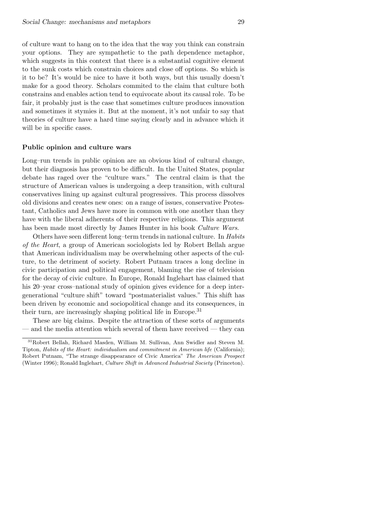of culture want to hang on to the idea that the way you think can constrain your options. They are sympathetic to the path dependence metaphor, which suggests in this context that there is a substantial cognitive element to the sunk costs which constrain choices and close off options. So which is it to be? It's would be nice to have it both ways, but this usually doesn't make for a good theory. Scholars commited to the claim that culture both constrains and enables action tend to equivocate about its causal role. To be fair, it probably just is the case that sometimes culture produces innovation and sometimes it stymies it. But at the moment, it's not unfair to say that theories of culture have a hard time saying clearly and in advance which it will be in specific cases.

## Public opinion and culture wars

Long–run trends in public opinion are an obvious kind of cultural change, but their diagnosis has proven to be difficult. In the United States, popular debate has raged over the "culture wars." The central claim is that the structure of American values is undergoing a deep transition, with cultural conservatives lining up against cultural progressives. This process dissolves old divisions and creates new ones: on a range of issues, conservative Protestant, Catholics and Jews have more in common with one another than they have with the liberal adherents of their respective religions. This argument has been made most directly by James Hunter in his book Culture Wars.

Others have seen different long–term trends in national culture. In Habits of the Heart, a group of American sociologists led by Robert Bellah argue that American individualism may be overwhelming other aspects of the culture, to the detriment of society. Robert Putnam traces a long decline in civic participation and political engagement, blaming the rise of television for the decay of civic culture. In Europe, Ronald Inglehart has claimed that his 20–year cross–national study of opinion gives evidence for a deep intergenerational "culture shift" toward "postmaterialist values." This shift has been driven by economic and sociopolitical change and its consequences, in their turn, are increasingly shaping political life in Europe.<sup>31</sup>

These are big claims. Despite the attraction of these sorts of arguments — and the media attention which several of them have received — they can

<sup>31</sup>Robert Bellah, Richard Masden, William M. Sullivan, Ann Swidler and Steven M. Tipton, Habits of the Heart: individualism and commitment in American life (California); Robert Putnam, "The strange disappearance of Civic America" The American Prospect (Winter 1996); Ronald Inglehart, Culture Shift in Advanced Industrial Society (Princeton).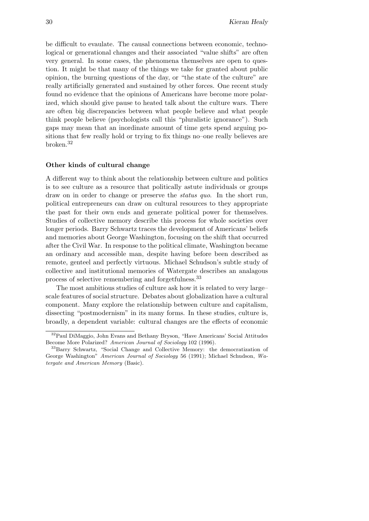be difficult to evaulate. The causal connections between economic, technological or generational changes and their associated "value shifts" are often very general. In some cases, the phenomena themselves are open to question. It might be that many of the things we take for granted about public opinion, the burning questions of the day, or "the state of the culture" are really artificially generated and sustained by other forces. One recent study found no evidence that the opinions of Americans have become more polarized, which should give pause to heated talk about the culture wars. There are often big discrepancies between what people believe and what people think people believe (psychologists call this "pluralistic ignorance"). Such gaps may mean that an inordinate amount of time gets spend arguing positions that few really hold or trying to fix things no–one really believes are broken.<sup>32</sup>

#### Other kinds of cultural change

A different way to think about the relationship between culture and politics is to see culture as a resource that politically astute individuals or groups draw on in order to change or preserve the *status quo*. In the short run, political entrepreneurs can draw on cultural resources to they appropriate the past for their own ends and generate political power for themselves. Studies of collective memory describe this process for whole societies over longer periods. Barry Schwartz traces the development of Americans' beliefs and memories about George Washington, focusing on the shift that occurred after the Civil War. In response to the political climate, Washington became an ordinary and accessible man, despite having before been described as remote, genteel and perfectly virtuous. Michael Schudson's subtle study of collective and institutional memories of Watergate describes an analagous process of selective remembering and forgetfulness.<sup>33</sup>

The most ambitious studies of culture ask how it is related to very large– scale features of social structure. Debates about globalization have a cultural component. Many explore the relationship between culture and capitalism, dissecting "postmodernism" in its many forms. In these studies, culture is, broadly, a dependent variable: cultural changes are the effects of economic

<sup>32</sup>Paul DiMaggio, John Evans and Bethany Bryson, "Have Americans' Social Attitudes Become More Polarized? American Journal of Sociology 102 (1996).

<sup>33</sup>Barry Schwartz, "Social Change and Collective Memory: the democratization of George Washington" American Journal of Sociology 56 (1991); Michael Schudson, Watergate and American Memory (Basic).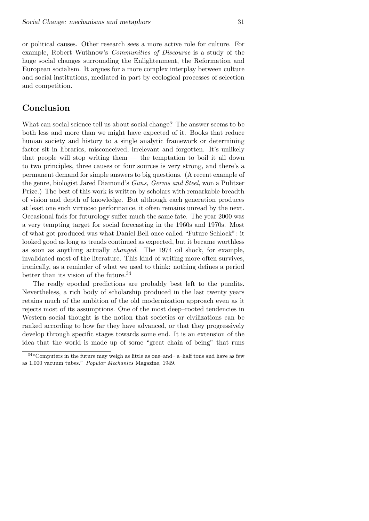or political causes. Other research sees a more active role for culture. For example, Robert Wuthnow's Communities of Discourse is a study of the huge social changes surrounding the Enlightenment, the Reformation and European socialism. It argues for a more complex interplay between culture and social institutions, mediated in part by ecological processes of selection and competition.

# Conclusion

What can social science tell us about social change? The answer seems to be both less and more than we might have expected of it. Books that reduce human society and history to a single analytic framework or determining factor sit in libraries, misconceived, irrelevant and forgotten. It's unlikely that people will stop writing them — the temptation to boil it all down to two principles, three causes or four sources is very strong, and there's a permanent demand for simple answers to big questions. (A recent example of the genre, biologist Jared Diamond's Guns, Germs and Steel, won a Pulitzer Prize.) The best of this work is written by scholars with remarkable breadth of vision and depth of knowledge. But although each generation produces at least one such virtuoso performance, it often remains unread by the next. Occasional fads for futurology suffer much the same fate. The year 2000 was a very tempting target for social forecasting in the 1960s and 1970s. Most of what got produced was what Daniel Bell once called "Future Schlock": it looked good as long as trends continued as expected, but it became worthless as soon as anything actually changed. The 1974 oil shock, for example, invalidated most of the literature. This kind of writing more often survives, ironically, as a reminder of what we used to think: nothing defines a period better than its vision of the future.<sup>34</sup>

The really epochal predictions are probably best left to the pundits. Nevertheless, a rich body of scholarship produced in the last twenty years retains much of the ambition of the old modernization approach even as it rejects most of its assumptions. One of the most deep–rooted tendencies in Western social thought is the notion that societies or civilizations can be ranked according to how far they have advanced, or that they progressively develop through specific stages towards some end. It is an extension of the idea that the world is made up of some "great chain of being" that runs

<sup>34</sup>"Computers in the future may weigh as little as one–and– a–half tons and have as few as 1,000 vacuum tubes." Popular Mechanics Magazine, 1949.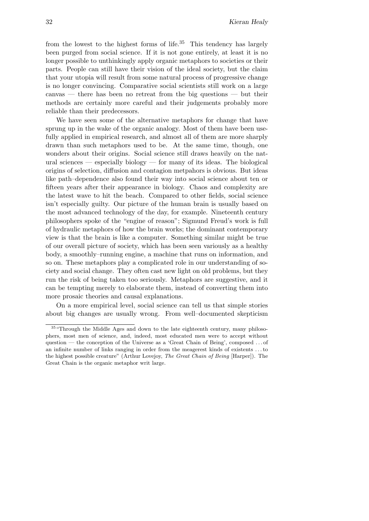from the lowest to the highest forms of life.<sup>35</sup> This tendency has largely been purged from social science. If it is not gone entirely, at least it is no longer possible to unthinkingly apply organic metaphors to societies or their parts. People can still have their vision of the ideal society, but the claim that your utopia will result from some natural process of progressive change is no longer convincing. Comparative social scientists still work on a large canvas — there has been no retreat from the big questions — but their methods are certainly more careful and their judgements probably more reliable than their predecessors.

We have seen some of the alternative metaphors for change that have sprung up in the wake of the organic analogy. Most of them have been usefully applied in empirical research, and almost all of them are more sharply drawn than such metaphors used to be. At the same time, though, one wonders about their origins. Social science still draws heavily on the natural sciences — especially biology — for many of its ideas. The biological origins of selection, diffusion and contagion metpahors is obvious. But ideas like path–dependence also found their way into social science about ten or fifteen years after their appearance in biology. Chaos and complexity are the latest wave to hit the beach. Compared to other fields, social science isn't especially guilty. Our picture of the human brain is usually based on the most advanced technology of the day, for example. Nineteenth century philosophers spoke of the "engine of reason"; Sigmund Freud's work is full of hydraulic metaphors of how the brain works; the dominant contemporary view is that the brain is like a computer. Something similar might be true of our overall picture of society, which has been seen variously as a healthy body, a smoothly–running engine, a machine that runs on information, and so on. These metaphors play a complicated role in our understanding of society and social change. They often cast new light on old problems, but they run the risk of being taken too seriously. Metaphors are suggestive, and it can be tempting merely to elaborate them, instead of converting them into more prosaic theories and causal explanations.

On a more empirical level, social science can tell us that simple stories about big changes are usually wrong. From well–documented skepticism

<sup>&</sup>lt;sup>35</sup> "Through the Middle Ages and down to the late eighteenth century, many philosophers, most men of science, and, indeed, most educated men were to accept without question — the conception of the Universe as a 'Great Chain of Being', composed . . . of an infinite number of links ranging in order from the meagerest kinds of existents . . . to the highest possible creature" (Arthur Lovejoy, The Great Chain of Being [Harper]). The Great Chain is the organic metaphor writ large.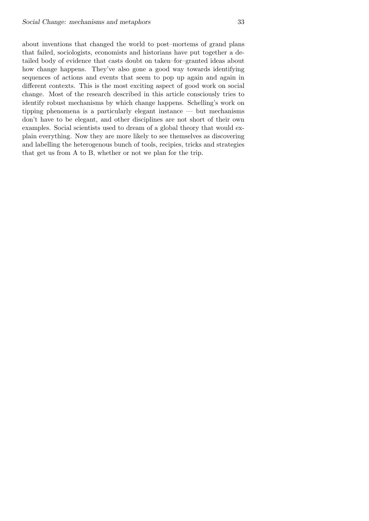about inventions that changed the world to post–mortems of grand plans that failed, sociologists, economists and historians have put together a detailed body of evidence that casts doubt on taken–for–granted ideas about how change happens. They've also gone a good way towards identifying sequences of actions and events that seem to pop up again and again in different contexts. This is the most exciting aspect of good work on social change. Most of the research described in this article consciously tries to identify robust mechanisms by which change happens. Schelling's work on tipping phenomena is a particularly elegant instance — but mechanisms don't have to be elegant, and other disciplines are not short of their own examples. Social scientists used to dream of a global theory that would explain everything. Now they are more likely to see themselves as discovering and labelling the heterogenous bunch of tools, recipies, tricks and strategies that get us from A to B, whether or not we plan for the trip.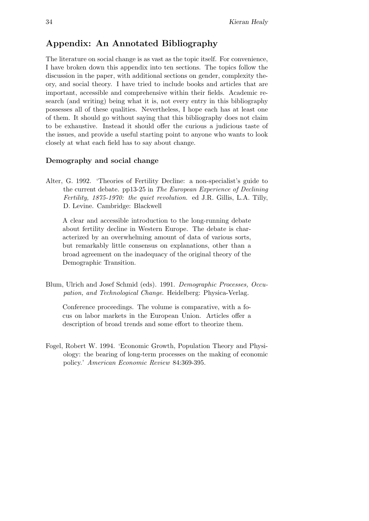# Appendix: An Annotated Bibliography

The literature on social change is as vast as the topic itself. For convenience, I have broken down this appendix into ten sections. The topics follow the discussion in the paper, with additional sections on gender, complexity theory, and social theory. I have tried to include books and articles that are important, accessible and comprehensive within their fields. Academic research (and writing) being what it is, not every entry in this bibliography possesses all of these qualities. Nevertheless, I hope each has at least one of them. It should go without saying that this bibliography does not claim to be exhaustive. Instead it should offer the curious a judicious taste of the issues, and provide a useful starting point to anyone who wants to look closely at what each field has to say about change.

# Demography and social change

Alter, G. 1992. 'Theories of Fertility Decline: a non-specialist's guide to the current debate. pp13-25 in The European Experience of Declining Fertility, 1875-1970: the quiet revolution. ed J.R. Gillis, L.A. Tilly, D. Levine. Cambridge: Blackwell

A clear and accessible introduction to the long-running debate about fertility decline in Western Europe. The debate is characterized by an overwhelming amount of data of various sorts, but remarkably little consensus on explanations, other than a broad agreement on the inadequacy of the original theory of the Demographic Transition.

Blum, Ulrich and Josef Schmid (eds). 1991. Demographic Processes, Occupation, and Technological Change. Heidelberg: Physica-Verlag.

Conference proceedings. The volume is comparative, with a focus on labor markets in the European Union. Articles offer a description of broad trends and some effort to theorize them.

Fogel, Robert W. 1994. 'Economic Growth, Population Theory and Physiology: the bearing of long-term processes on the making of economic policy.' American Economic Review 84:369-395.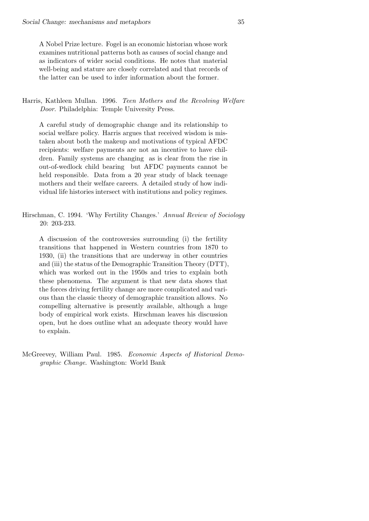A Nobel Prize lecture. Fogel is an economic historian whose work examines nutritional patterns both as causes of social change and as indicators of wider social conditions. He notes that material well-being and stature are closely correlated and that records of the latter can be used to infer information about the former.

Harris, Kathleen Mullan. 1996. Teen Mothers and the Revolving Welfare Door. Philadelphia: Temple University Press.

A careful study of demographic change and its relationship to social welfare policy. Harris argues that received wisdom is mistaken about both the makeup and motivations of typical AFDC recipients: welfare payments are not an incentive to have children. Family systems are changing as is clear from the rise in out-of-wedlock child bearing but AFDC payments cannot be held responsible. Data from a 20 year study of black teenage mothers and their welfare careers. A detailed study of how individual life histories intersect with institutions and policy regimes.

Hirschman, C. 1994. 'Why Fertility Changes.' Annual Review of Sociology 20: 203-233.

A discussion of the controversies surrounding (i) the fertility transitions that happened in Western countries from 1870 to 1930, (ii) the transitions that are underway in other countries and (iii) the status of the Demographic Transition Theory (DTT), which was worked out in the 1950s and tries to explain both these phenomena. The argument is that new data shows that the forces driving fertility change are more complicated and various than the classic theory of demographic transition allows. No compelling alternative is presently available, although a huge body of empirical work exists. Hirschman leaves his discussion open, but he does outline what an adequate theory would have to explain.

McGreevey, William Paul. 1985. Economic Aspects of Historical Demographic Change. Washington: World Bank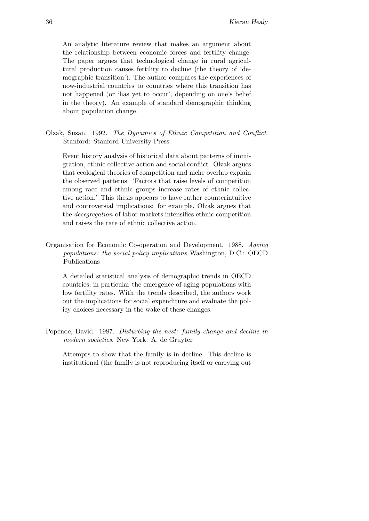An analytic literature review that makes an argument about the relationship between economic forces and fertility change. The paper argues that technological change in rural agricultural production causes fertility to decline (the theory of 'demographic transition'). The author compares the experiences of now-industrial countries to countries where this transition has not happened (or 'has yet to occur', depending on one's belief in the theory). An example of standard demographic thinking about population change.

Olzak, Susan. 1992. The Dynamics of Ethnic Competition and Conflict. Stanford: Stanford University Press.

Event history analysis of historical data about patterns of immigration, ethnic collective action and social conflict. Olzak argues that ecological theories of competition and niche overlap explain the observed patterns. 'Factors that raise levels of competition among race and ethnic groups increase rates of ethnic collective action.' This thesis appears to have rather counterintuitive and controversial implications: for example, Olzak argues that the desegregation of labor markets intensifies ethnic competition and raises the rate of ethnic collective action.

Organisation for Economic Co-operation and Development. 1988. Ageing populations: the social policy implications Washington, D.C.: OECD Publications

A detailed statistical analysis of demographic trends in OECD countries, in particular the emergence of aging populations with low fertility rates. With the trends described, the authors work out the implications for social expenditure and evaluate the policy choices necessary in the wake of these changes.

Popenoe, David. 1987. Disturbing the nest: family change and decline in modern societies. New York: A. de Gruyter

Attempts to show that the family is in decline. This decline is institutional (the family is not reproducing itself or carrying out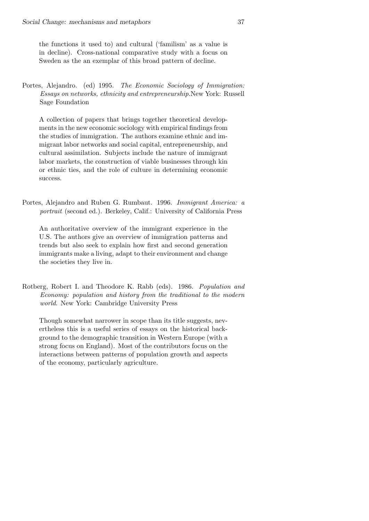the functions it used to) and cultural ('familism' as a value is in decline). Cross-national comparative study with a focus on Sweden as the an exemplar of this broad pattern of decline.

Portes, Alejandro. (ed) 1995. The Economic Sociology of Immigration: Essays on networks, ethnicity and entrepreneurship.New York: Russell Sage Foundation

A collection of papers that brings together theoretical developments in the new economic sociology with empirical findings from the studies of immigration. The authors examine ethnic and immigrant labor networks and social capital, entrepreneurship, and cultural assimilation. Subjects include the nature of immigrant labor markets, the construction of viable businesses through kin or ethnic ties, and the role of culture in determining economic success.

Portes, Alejandro and Ruben G. Rumbaut. 1996. Immigrant America: a portrait (second ed.). Berkeley, Calif.: University of California Press

An authoritative overview of the immigrant experience in the U.S. The authors give an overview of immigration patterns and trends but also seek to explain how first and second generation immigrants make a living, adapt to their environment and change the societies they live in.

Rotberg, Robert I. and Theodore K. Rabb (eds). 1986. Population and Economy: population and history from the traditional to the modern world. New York: Cambridge University Press

Though somewhat narrower in scope than its title suggests, nevertheless this is a useful series of essays on the historical background to the demographic transition in Western Europe (with a strong focus on England). Most of the contributors focus on the interactions between patterns of population growth and aspects of the economy, particularly agriculture.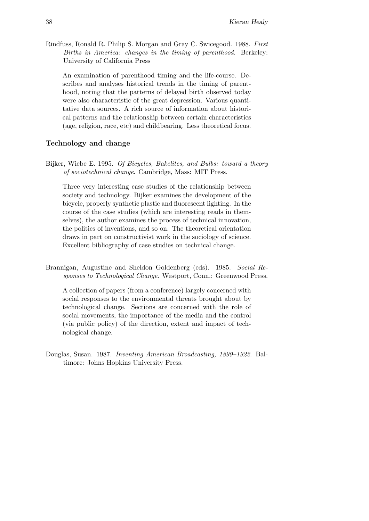Rindfuss, Ronald R. Philip S. Morgan and Gray C. Swicegood. 1988. First Births in America: changes in the timing of parenthood. Berkeley: University of California Press

An examination of parenthood timing and the life-course. Describes and analyses historical trends in the timing of parenthood, noting that the patterns of delayed birth observed today were also characteristic of the great depression. Various quantitative data sources. A rich source of information about historical patterns and the relationship between certain characteristics (age, religion, race, etc) and childbearing. Less theoretical focus.

## Technology and change

Bijker, Wiebe E. 1995. Of Bicycles, Bakelites, and Bulbs: toward a theory of sociotechnical change. Cambridge, Mass: MIT Press.

Three very interesting case studies of the relationship between society and technology. Bijker examines the development of the bicycle, properly synthetic plastic and fluorescent lighting. In the course of the case studies (which are interesting reads in themselves), the author examines the process of technical innovation, the politics of inventions, and so on. The theoretical orientation draws in part on constructivist work in the sociology of science. Excellent bibliography of case studies on technical change.

Brannigan, Augustine and Sheldon Goldenberg (eds). 1985. Social Responses to Technological Change. Westport, Conn.: Greenwood Press.

A collection of papers (from a conference) largely concerned with social responses to the environmental threats brought about by technological change. Sections are concerned with the role of social movements, the importance of the media and the control (via public policy) of the direction, extent and impact of technological change.

Douglas, Susan. 1987. Inventing American Broadcasting, 1899–1922. Baltimore: Johns Hopkins University Press.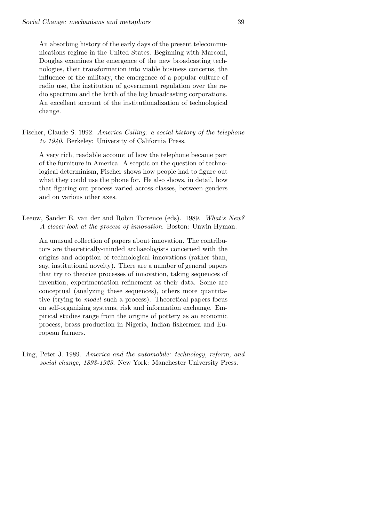An absorbing history of the early days of the present telecommunications regime in the United States. Beginning with Marconi, Douglas examines the emergence of the new broadcasting technologies, their transformation into viable business concerns, the influence of the military, the emergence of a popular culture of radio use, the institution of government regulation over the radio spectrum and the birth of the big broadcasting corporations. An excellent account of the institutionalization of technological change.

Fischer, Claude S. 1992. America Calling: a social history of the telephone to 1940. Berkeley: University of California Press.

A very rich, readable account of how the telephone became part of the furniture in America. A sceptic on the question of technological determinism, Fischer shows how people had to figure out what they could use the phone for. He also shows, in detail, how that figuring out process varied across classes, between genders and on various other axes.

Leeuw, Sander E. van der and Robin Torrence (eds). 1989. What's New? A closer look at the process of innovation. Boston: Unwin Hyman.

An unusual collection of papers about innovation. The contributors are theoretically-minded archaeologists concerned with the origins and adoption of technological innovations (rather than, say, institutional novelty). There are a number of general papers that try to theorize processes of innovation, taking sequences of invention, experimentation refinement as their data. Some are conceptual (analyzing these sequences), others more quantitative (trying to model such a process). Theoretical papers focus on self-organizing systems, risk and information exchange. Empirical studies range from the origins of pottery as an economic process, brass production in Nigeria, Indian fishermen and European farmers.

Ling, Peter J. 1989. America and the automobile: technology, reform, and social change, 1893-1923. New York: Manchester University Press.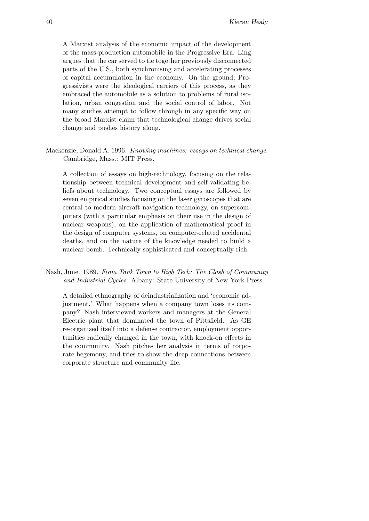A Marxist analysis of the economic impact of the development of the mass-production automobile in the Progressive Era. Ling argues that the car served to tie together previously disconnected parts of the U.S., both synchronising and accelerating processes of capital accumulation in the economy. On the ground, Progressivists were the ideological carriers of this process, as they embraced the automobile as a solution to problems of rural isolation, urban congestion and the social control of labor. Not many studies attempt to follow through in any specific way on the broad Marxist claim that technological change drives social change and pushes history along.

Mackenzie, Donald A. 1996. Knowing machines: essays on technical change. Cambridge, Mass.: MIT Press.

A collection of essays on high-technology, focusing on the relationship between technical development and self-validating beliefs about technology. Two conceptual essays are followed by seven empirical studies focusing on the laser gyroscopes that are central to modern aircraft navigation technology, on supercomputers (with a particular emphasis on their use in the design of nuclear weapons), on the application of mathematical proof in the design of computer systems, on computer-related accidental deaths, and on the nature of the knowledge needed to build a nuclear bomb. Technically sophisticated and conceptually rich.

Nash, June. 1989. From Tank Town to High Tech: The Clash of Community and Industrial Cycles. Albany: State University of New York Press.

A detailed ethnography of deindustrialization and 'economic adjustment.' What happens when a company town loses its company? Nash interviewed workers and managers at the General Electric plant that dominated the town of Pittsfield. As GE re-organized itself into a defense contractor, employment opportunities radically changed in the town, with knock-on effects in the community. Nash pitches her analysis in terms of corporate hegemony, and tries to show the deep connections between corporate structure and community life.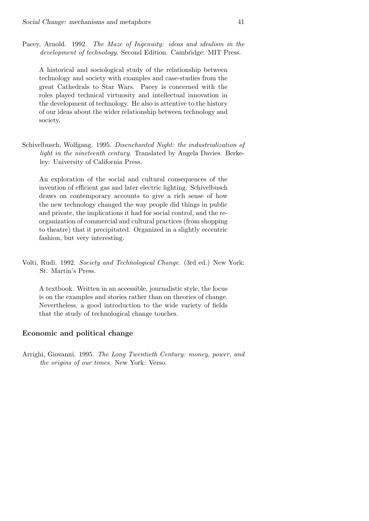Pacey, Arnold. 1992. The Maze of Ingenuity: ideas and idealism in the development of technology. Second Edition. Cambridge: MIT Press.

A historical and sociological study of the relationship between technology and society with examples and case-studies from the great Cathedrals to Star Wars. Pacey is concerned with the roles played technical virtuosity and intellectual innovation in the development of technology. He also is attentive to the history of our ideas about the wider relationship between technology and society.

Schivelbusch, Wolfgang. 1995. Disenchanted Night: the industrialization of light in the nineteenth century. Translated by Angela Davies. Berkeley: University of California Press.

An exploration of the social and cultural consequences of the invention of efficient gas and later electric lighting. Schivelbusch draws on contemporary accounts to give a rich sense of how the new technology changed the way people did things in public and private, the implications it had for social control, and the reorganization of commercial and cultural practices (from shopping to theatre) that it precipitated. Organized in a slightly eccentric fashion, but very interesting.

Volti, Rudi. 1992. Society and Technological Change. (3rd ed.) New York: St. Martin's Press.

A textbook. Written in an accessible, journalistic style, the focus is on the examples and stories rather than on theories of change. Nevertheless, a good introduction to the wide variety of fields that the study of technological change touches.

## Economic and political change

Arrighi, Giovanni. 1995. The Long Twentieth Century: money, power, and the origins of our times. New York: Verso.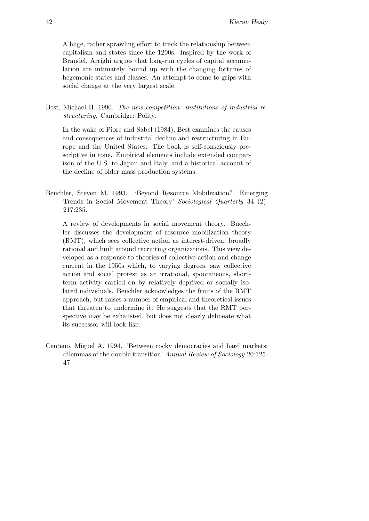A huge, rather sprawling effort to track the relationship between capitalism and states since the 1200s. Inspired by the work of Braudel, Arrighi argues that long-run cycles of capital accumulation are intimately bound up with the changing fortunes of hegemonic states and classes. An attempt to come to grips with social change at the very largest scale.

Best, Michael H. 1990. The new competition: institutions of industrial restructuring. Cambridge: Polity.

In the wake of Piore and Sabel (1984), Best examines the causes and consequences of industrial decline and restructuring in Europe and the United States. The book is self-consciously prescriptive in tone. Empirical elements include extended comparison of the U.S. to Japan and Italy, and a historical account of the decline of older mass production systems.

Beuchler, Steven M. 1993. 'Beyond Resource Mobilization? Emerging Trends in Social Movement Theory' Sociological Quarterly 34 (2): 217:235.

A review of developments in social movement theory. Buechler discusses the development of resource mobilization theory (RMT), which sees collective action as interest-driven, broadly rational and built around recruiting organizations. This view developed as a response to theories of collective action and change current in the 1950s which, to varying degrees, saw collective action and social protest as an irrational, spontaneous, shortterm activity carried on by relatively deprived or socially isolated individuals. Beuchler acknowledges the fruits of the RMT approach, but raises a number of empirical and theoretical issues that threaten to undermine it. He suggests that the RMT perspective may be exhausted, but does not clearly delineate what its successor will look like.

Centeno, Miguel A. 1994. 'Between rocky democracies and hard markets: dilemmas of the double transition' Annual Review of Sociology 20:125- 47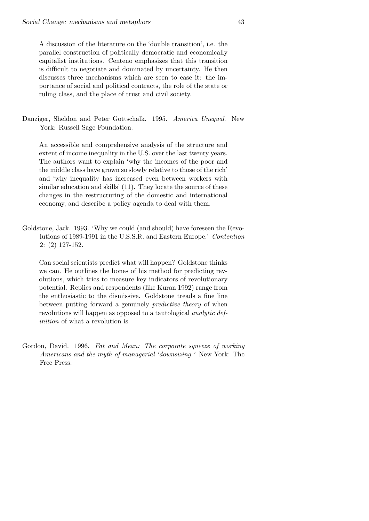A discussion of the literature on the 'double transition', i.e. the parallel construction of politically democratic and economically capitalist institutions. Centeno emphasizes that this transition is difficult to negotiate and dominated by uncertainty. He then discusses three mechanisms which are seen to ease it: the importance of social and political contracts, the role of the state or ruling class, and the place of trust and civil society.

Danziger, Sheldon and Peter Gottschalk. 1995. America Unequal. New York: Russell Sage Foundation.

An accessible and comprehensive analysis of the structure and extent of income inequality in the U.S. over the last twenty years. The authors want to explain 'why the incomes of the poor and the middle class have grown so slowly relative to those of the rich' and 'why inequality has increased even between workers with similar education and skills' (11). They locate the source of these changes in the restructuring of the domestic and international economy, and describe a policy agenda to deal with them.

Goldstone, Jack. 1993. 'Why we could (and should) have foreseen the Revolutions of 1989-1991 in the U.S.S.R. and Eastern Europe.' Contention 2: (2) 127-152.

Can social scientists predict what will happen? Goldstone thinks we can. He outlines the bones of his method for predicting revolutions, which tries to measure key indicators of revolutionary potential. Replies and respondents (like Kuran 1992) range from the enthusiastic to the dismissive. Goldstone treads a fine line between putting forward a genuinely *predictive theory* of when revolutions will happen as opposed to a tautological analytic definition of what a revolution is.

Gordon, David. 1996. Fat and Mean: The corporate squeeze of working Americans and the myth of managerial 'downsizing.' New York: The Free Press.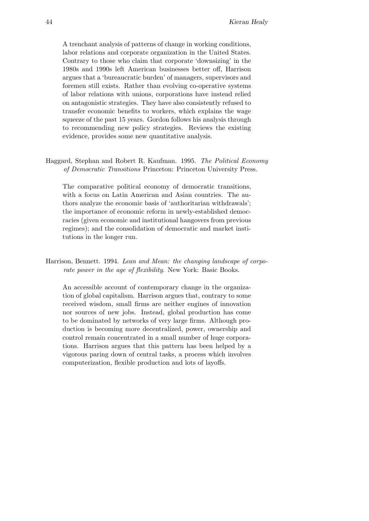A trenchant analysis of patterns of change in working conditions, labor relations and corporate organization in the United States. Contrary to those who claim that corporate 'downsizing' in the 1980s and 1990s left American businesses better off, Harrison argues that a 'bureaucratic burden' of managers, supervisors and foremen still exists. Rather than evolving co-operative systems of labor relations with unions, corporations have instead relied on antagonistic strategies. They have also consistently refused to transfer economic benefits to workers, which explains the wage squeeze of the past 15 years. Gordon follows his analysis through to recommending new policy strategies. Reviews the existing evidence, provides some new quantitative analysis.

Haggard, Stephan and Robert R. Kaufman. 1995. The Political Economy of Democratic Transitions Princeton: Princeton University Press.

The comparative political economy of democratic transitions, with a focus on Latin American and Asian countries. The authors analyze the economic basis of 'authoritarian withdrawals'; the importance of economic reform in newly-established democracies (given economic and institutional hangovers from previous regimes); and the consolidation of democratic and market institutions in the longer run.

Harrison, Bennett. 1994. Lean and Mean: the changing landscape of corporate power in the age of flexibility. New York: Basic Books.

An accessible account of contemporary change in the organization of global capitalism. Harrison argues that, contrary to some received wisdom, small firms are neither engines of innovation nor sources of new jobs. Instead, global production has come to be dominated by networks of very large firms. Although production is becoming more decentralized, power, ownership and control remain concentrated in a small number of huge corporations. Harrison argues that this pattern has been helped by a vigorous paring down of central tasks, a process which involves computerization, flexible production and lots of layoffs.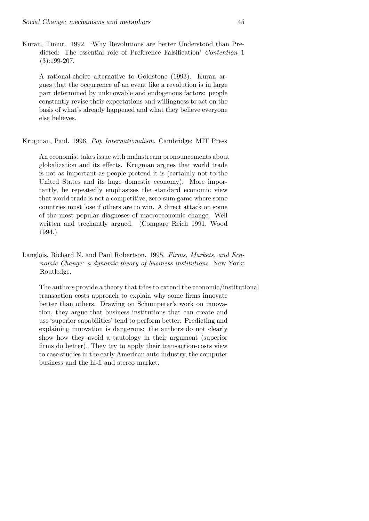Kuran, Timur. 1992. 'Why Revolutions are better Understood than Predicted: The essential role of Preference Falsification' Contention 1  $(3):199-207.$ 

A rational-choice alternative to Goldstone (1993). Kuran argues that the occurrence of an event like a revolution is in large part determined by unknowable and endogenous factors: people constantly revise their expectations and willingness to act on the basis of what's already happened and what they believe everyone else believes.

#### Krugman, Paul. 1996. Pop Internationalism. Cambridge: MIT Press

An economist takes issue with mainstream pronouncements about globalization and its effects. Krugman argues that world trade is not as important as people pretend it is (certainly not to the United States and its huge domestic economy). More importantly, he repeatedly emphasizes the standard economic view that world trade is not a competitive, zero-sum game where some countries must lose if others are to win. A direct attack on some of the most popular diagnoses of macroeconomic change. Well written and trechantly argued. (Compare Reich 1991, Wood 1994.)

Langlois, Richard N. and Paul Robertson. 1995. Firms, Markets, and Economic Change: a dynamic theory of business institutions. New York: Routledge.

The authors provide a theory that tries to extend the economic/institutional transaction costs approach to explain why some firms innovate better than others. Drawing on Schumpeter's work on innovation, they argue that business institutions that can create and use 'superior capabilities' tend to perform better. Predicting and explaining innovation is dangerous: the authors do not clearly show how they avoid a tautology in their argument (superior firms do better). They try to apply their transaction-costs view to case studies in the early American auto industry, the computer business and the hi-fi and stereo market.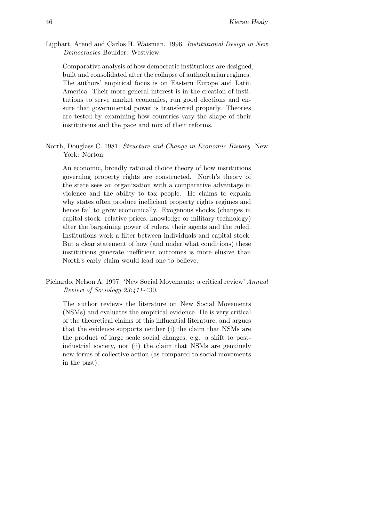Lijphart, Arend and Carlos H. Waisman. 1996. Institutional Design in New Democracies Boulder: Westview.

Comparative analysis of how democratic institutions are designed, built and consolidated after the collapse of authoritarian regimes. The authors' empirical focus is on Eastern Europe and Latin America. Their more general interest is in the creation of institutions to serve market economies, run good elections and ensure that governmental power is transferred properly. Theories are tested by examining how countries vary the shape of their institutions and the pace and mix of their reforms.

North, Douglass C. 1981. Structure and Change in Economic History. New York: Norton

An economic, broadly rational choice theory of how institutions governing property rights are constructed. North's theory of the state sees an organization with a comparative advantage in violence and the ability to tax people. He claims to explain why states often produce inefficient property rights regimes and hence fail to grow economically. Exogenous shocks (changes in capital stock: relative prices, knowledge or military technology) alter the bargaining power of rulers, their agents and the ruled. Institutions work a filter between individuals and capital stock. But a clear statement of how (and under what conditions) these institutions generate inefficient outcomes is more elusive than North's early claim would lead one to believe.

Pichardo, Nelson A. 1997. 'New Social Movements: a critical review' Annual Review of Sociology 23:411 -430.

The author reviews the literature on New Social Movements (NSMs) and evaluates the empirical evidence. He is very critical of the theoretical claims of this influential literature, and argues that the evidence supports neither (i) the claim that NSMs are the product of large scale social changes, e.g. a shift to postindustrial society, nor (ii) the claim that NSMs are genuinely new forms of collective action (as compared to social movements in the past).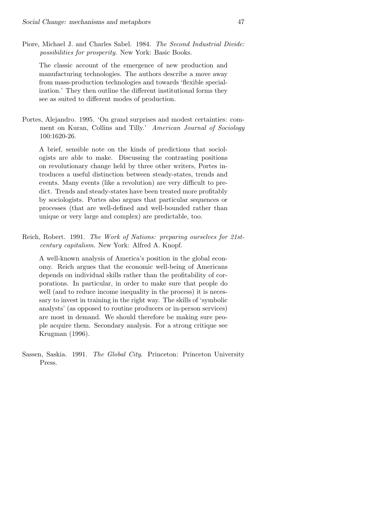Piore, Michael J. and Charles Sabel. 1984. The Second Industrial Divide: possibilities for prosperity. New York: Basic Books.

The classic account of the emergence of new production and manufacturing technologies. The authors describe a move away from mass-production technologies and towards 'flexible specialization.' They then outline the different institutional forms they see as suited to different modes of production.

Portes, Alejandro. 1995. 'On grand surprises and modest certainties: comment on Kuran, Collins and Tilly.' American Journal of Sociology 100:1620-26.

A brief, sensible note on the kinds of predictions that sociologists are able to make. Discussing the contrasting positions on revolutionary change held by three other writers, Portes introduces a useful distinction between steady-states, trends and events. Many events (like a revolution) are very difficult to predict. Trends and steady-states have been treated more profitably by sociologists. Portes also argues that particular sequences or processes (that are well-defined and well-bounded rather than unique or very large and complex) are predictable, too.

Reich, Robert. 1991. The Work of Nations: preparing ourselves for 21stcentury capitalism. New York: Alfred A. Knopf.

A well-known analysis of America's position in the global economy. Reich argues that the economic well-being of Americans depends on individual skills rather than the profitability of corporations. In particular, in order to make sure that people do well (and to reduce income inequality in the process) it is necessary to invest in training in the right way. The skills of 'symbolic analysts' (as opposed to routine producers or in-person services) are most in demand. We should therefore be making sure people acquire them. Secondary analysis. For a strong critique see Krugman (1996).

Sassen, Saskia. 1991. The Global City. Princeton: Princeton University Press.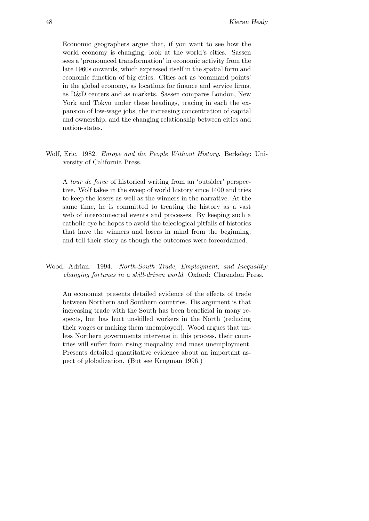Economic geographers argue that, if you want to see how the world economy is changing, look at the world's cities. Sassen sees a 'pronounced transformation' in economic activity from the late 1960s onwards, which expressed itself in the spatial form and economic function of big cities. Cities act as 'command points' in the global economy, as locations for finance and service firms, as R&D centers and as markets. Sassen compares London, New York and Tokyo under these headings, tracing in each the expansion of low-wage jobs, the increasing concentration of capital and ownership, and the changing relationship between cities and nation-states.

Wolf, Eric. 1982. Europe and the People Without History. Berkeley: University of California Press.

A tour de force of historical writing from an 'outsider' perspective. Wolf takes in the sweep of world history since 1400 and tries to keep the losers as well as the winners in the narrative. At the same time, he is committed to treating the history as a vast web of interconnected events and processes. By keeping such a catholic eye he hopes to avoid the teleological pitfalls of histories that have the winners and losers in mind from the beginning, and tell their story as though the outcomes were foreordained.

Wood, Adrian. 1994. North-South Trade, Employment, and Inequality: changing fortunes in a skill-driven world. Oxford: Clarendon Press.

An economist presents detailed evidence of the effects of trade between Northern and Southern countries. His argument is that increasing trade with the South has been beneficial in many respects, but has hurt unskilled workers in the North (reducing their wages or making them unemployed). Wood argues that unless Northern governments intervene in this process, their countries will suffer from rising inequality and mass unemployment. Presents detailed quantitative evidence about an important aspect of globalization. (But see Krugman 1996.)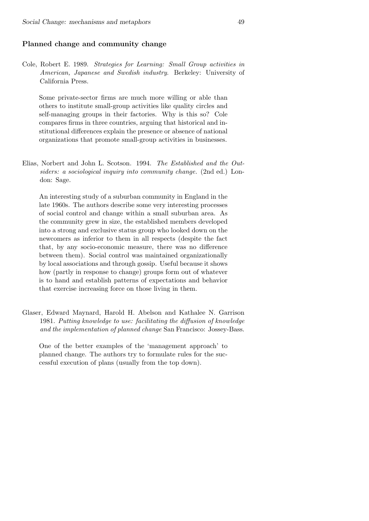## Planned change and community change

Cole, Robert E. 1989. Strategies for Learning: Small Group activities in American, Japanese and Swedish industry. Berkeley: University of California Press.

Some private-sector firms are much more willing or able than others to institute small-group activities like quality circles and self-managing groups in their factories. Why is this so? Cole compares firms in three countries, arguing that historical and institutional differences explain the presence or absence of national organizations that promote small-group activities in businesses.

Elias, Norbert and John L. Scotson. 1994. The Established and the Outsiders: a sociological inquiry into community change. (2nd ed.) London: Sage.

An interesting study of a suburban community in England in the late 1960s. The authors describe some very interesting processes of social control and change within a small suburban area. As the community grew in size, the established members developed into a strong and exclusive status group who looked down on the newcomers as inferior to them in all respects (despite the fact that, by any socio-economic measure, there was no difference between them). Social control was maintained organizationally by local associations and through gossip. Useful because it shows how (partly in response to change) groups form out of whatever is to hand and establish patterns of expectations and behavior that exercise increasing force on those living in them.

Glaser, Edward Maynard, Harold H. Abelson and Kathalee N. Garrison 1981. Putting knowledge to use: facilitating the diffusion of knowledge and the implementation of planned change San Francisco: Jossey-Bass.

One of the better examples of the 'management approach' to planned change. The authors try to formulate rules for the successful execution of plans (usually from the top down).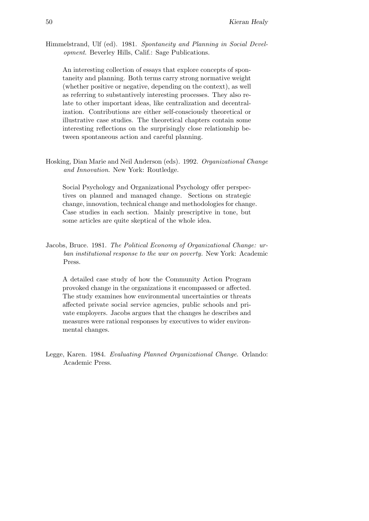Himmelstrand, Ulf (ed). 1981. Spontaneity and Planning in Social Development. Beverley Hills, Calif.: Sage Publications.

An interesting collection of essays that explore concepts of spontaneity and planning. Both terms carry strong normative weight (whether positive or negative, depending on the context), as well as referring to substantively interesting processes. They also relate to other important ideas, like centralization and decentralization. Contributions are either self-consciously theoretical or illustrative case studies. The theoretical chapters contain some interesting reflections on the surprisingly close relationship between spontaneous action and careful planning.

Hosking, Dian Marie and Neil Anderson (eds). 1992. Organizational Change and Innovation. New York: Routledge.

Social Psychology and Organizational Psychology offer perspectives on planned and managed change. Sections on strategic change, innovation, technical change and methodologies for change. Case studies in each section. Mainly prescriptive in tone, but some articles are quite skeptical of the whole idea.

Jacobs, Bruce. 1981. The Political Economy of Organizational Change: urban institutional response to the war on poverty. New York: Academic Press.

A detailed case study of how the Community Action Program provoked change in the organizations it encompassed or affected. The study examines how environmental uncertainties or threats affected private social service agencies, public schools and private employers. Jacobs argues that the changes he describes and measures were rational responses by executives to wider environmental changes.

Legge, Karen. 1984. Evaluating Planned Organizational Change. Orlando: Academic Press.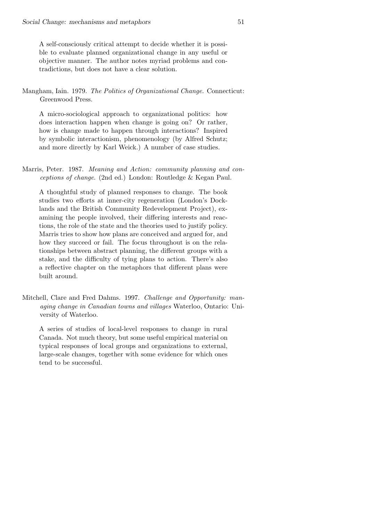A self-consciously critical attempt to decide whether it is possible to evaluate planned organizational change in any useful or objective manner. The author notes myriad problems and contradictions, but does not have a clear solution.

Mangham, Iain. 1979. The Politics of Organizational Change. Connecticut: Greenwood Press.

A micro-sociological approach to organizational politics: how does interaction happen when change is going on? Or rather, how is change made to happen through interactions? Inspired by symbolic interactionism, phenomenology (by Alfred Schutz; and more directly by Karl Weick.) A number of case studies.

Marris, Peter. 1987. Meaning and Action: community planning and conceptions of change. (2nd ed.) London: Routledge & Kegan Paul.

A thoughtful study of planned responses to change. The book studies two efforts at inner-city regeneration (London's Docklands and the British Community Redevelopment Project), examining the people involved, their differing interests and reactions, the role of the state and the theories used to justify policy. Marris tries to show how plans are conceived and argued for, and how they succeed or fail. The focus throughout is on the relationships between abstract planning, the different groups with a stake, and the difficulty of tying plans to action. There's also a reflective chapter on the metaphors that different plans were built around.

Mitchell, Clare and Fred Dahms. 1997. Challenge and Opportunity: managing change in Canadian towns and villages Waterloo, Ontario: University of Waterloo.

A series of studies of local-level responses to change in rural Canada. Not much theory, but some useful empirical material on typical responses of local groups and organizations to external, large-scale changes, together with some evidence for which ones tend to be successful.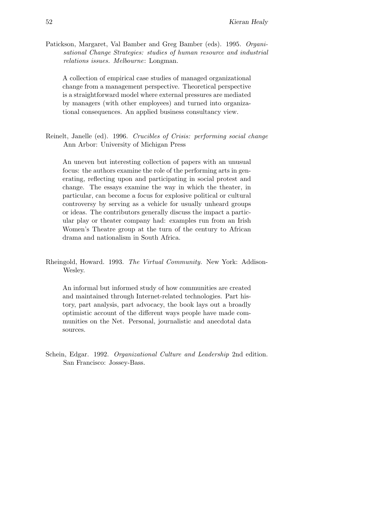Patickson, Margaret, Val Bamber and Greg Bamber (eds). 1995. Organisational Change Strategies: studies of human resource and industrial relations issues. Melbourne: Longman.

A collection of empirical case studies of managed organizational change from a management perspective. Theoretical perspective is a straightforward model where external pressures are mediated by managers (with other employees) and turned into organizational consequences. An applied business consultancy view.

Reinelt, Janelle (ed). 1996. Crucibles of Crisis: performing social change Ann Arbor: University of Michigan Press

An uneven but interesting collection of papers with an unusual focus: the authors examine the role of the performing arts in generating, reflecting upon and participating in social protest and change. The essays examine the way in which the theater, in particular, can become a focus for explosive political or cultural controversy by serving as a vehicle for usually unheard groups or ideas. The contributors generally discuss the impact a particular play or theater company had: examples run from an Irish Women's Theatre group at the turn of the century to African drama and nationalism in South Africa.

Rheingold, Howard. 1993. The Virtual Community. New York: Addison-Wesley.

An informal but informed study of how communities are created and maintained through Internet-related technologies. Part history, part analysis, part advocacy, the book lays out a broadly optimistic account of the different ways people have made communities on the Net. Personal, journalistic and anecdotal data sources.

Schein, Edgar. 1992. Organizational Culture and Leadership 2nd edition. San Francisco: Jossey-Bass.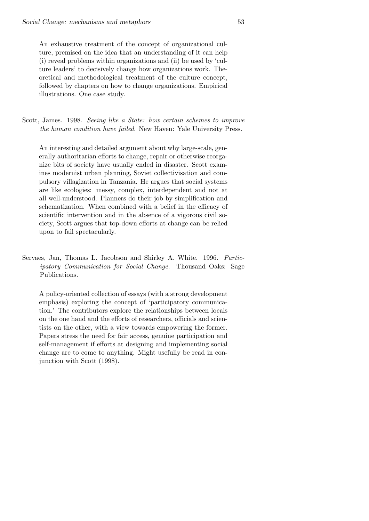An exhaustive treatment of the concept of organizational culture, premised on the idea that an understanding of it can help (i) reveal problems within organizations and (ii) be used by 'culture leaders' to decisively change how organizations work. Theoretical and methodological treatment of the culture concept, followed by chapters on how to change organizations. Empirical illustrations. One case study.

Scott, James. 1998. Seeing like a State: how certain schemes to improve the human condition have failed. New Haven: Yale University Press.

An interesting and detailed argument about why large-scale, generally authoritarian efforts to change, repair or otherwise reorganize bits of society have usually ended in disaster. Scott examines modernist urban planning, Soviet collectivisation and compulsory villagization in Tanzania. He argues that social systems are like ecologies: messy, complex, interdependent and not at all well-understood. Planners do their job by simplification and schematization. When combined with a belief in the efficacy of scientific intervention and in the absence of a vigorous civil society, Scott argues that top-down efforts at change can be relied upon to fail spectacularly.

Servaes, Jan, Thomas L. Jacobson and Shirley A. White. 1996. Participatory Communication for Social Change. Thousand Oaks: Sage Publications.

A policy-oriented collection of essays (with a strong development emphasis) exploring the concept of 'participatory communication.' The contributors explore the relationships between locals on the one hand and the efforts of researchers, officials and scientists on the other, with a view towards empowering the former. Papers stress the need for fair access, genuine participation and self-management if efforts at designing and implementing social change are to come to anything. Might usefully be read in conjunction with Scott (1998).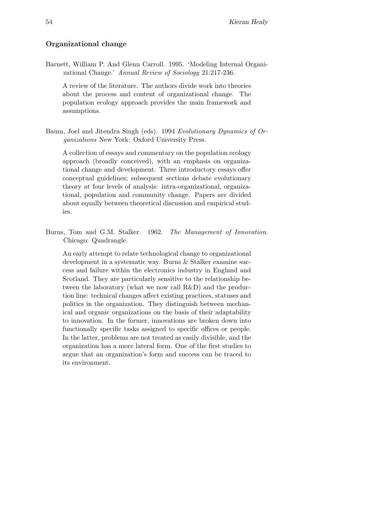# Organizational change

Barnett, William P. And Glenn Carroll. 1995. 'Modeling Internal Organizational Change.' Annual Review of Sociology 21:217-236.

A review of the literature. The authors divide work into theories about the process and content of organizational change. The population ecology approach provides the main framework and assumptions.

Baum, Joel and Jitendra Singh (eds). 1994 Evolutionary Dynamics of Organizations New York: Oxford University Press.

A collection of essays and commentary on the population ecology approach (broadly conceived), with an emphasis on organizational change and development. Three introductory essays offer conceptual guidelines; subsequent sections debate evolutionary theory at four levels of analysis: intra-organizational, organizational, population and community change. Papers are divided about equally between theoretical discussion and empirical studies.

Burns, Tom and G.M. Stalker. 1962. The Management of Innovation. Chicago: Quadrangle.

An early attempt to relate technological change to organizational development in a systematic way. Burns & Stalker examine success and failure within the electronics industry in England and Scotland. They are particularly sensitive to the relationship between the laboratory (what we now call R&D) and the production line: technical changes affect existing practices, statuses and politics in the organization. They distinguish between mechanical and organic organizations on the basis of their adaptability to innovation. In the former, innovations are broken down into functionally specific tasks assigned to specific offices or people. In the latter, problems are not treated as easily divisible, and the organization has a more lateral form. One of the first studies to argue that an organization's form and success can be traced to its environment.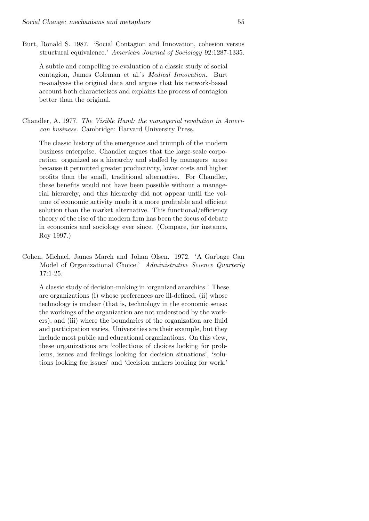Burt, Ronald S. 1987. 'Social Contagion and Innovation, cohesion versus structural equivalence.' American Journal of Sociology 92:1287-1335.

A subtle and compelling re-evaluation of a classic study of social contagion, James Coleman et al.'s Medical Innovation. Burt re-analyses the original data and argues that his network-based account both characterizes and explains the process of contagion better than the original.

Chandler, A. 1977. The Visible Hand: the managerial revolution in American business. Cambridge: Harvard University Press.

The classic history of the emergence and triumph of the modern business enterprise. Chandler argues that the large-scale corporation organized as a hierarchy and staffed by managers arose because it permitted greater productivity, lower costs and higher profits than the small, traditional alternative. For Chandler, these benefits would not have been possible without a managerial hierarchy, and this hierarchy did not appear until the volume of economic activity made it a more profitable and efficient solution than the market alternative. This functional/efficiency theory of the rise of the modern firm has been the focus of debate in economics and sociology ever since. (Compare, for instance, Roy 1997.)

Cohen, Michael, James March and Johan Olsen. 1972. 'A Garbage Can Model of Organizational Choice.' Administrative Science Quarterly 17:1-25.

A classic study of decision-making in 'organized anarchies.' These are organizations (i) whose preferences are ill-defined, (ii) whose technology is unclear (that is, technology in the economic sense: the workings of the organization are not understood by the workers), and (iii) where the boundaries of the organization are fluid and participation varies. Universities are their example, but they include most public and educational organizations. On this view, these organizations are 'collections of choices looking for problems, issues and feelings looking for decision situations', 'solutions looking for issues' and 'decision makers looking for work.'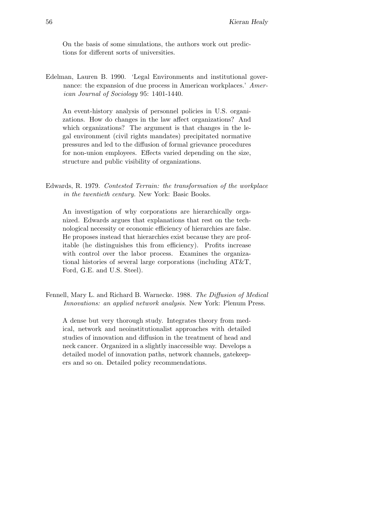On the basis of some simulations, the authors work out predictions for different sorts of universities.

Edelman, Lauren B. 1990. 'Legal Environments and institutional governance: the expansion of due process in American workplaces.' American Journal of Sociology 95: 1401-1440.

An event-history analysis of personnel policies in U.S. organizations. How do changes in the law affect organizations? And which organizations? The argument is that changes in the legal environment (civil rights mandates) precipitated normative pressures and led to the diffusion of formal grievance procedures for non-union employees. Effects varied depending on the size, structure and public visibility of organizations.

Edwards, R. 1979. Contested Terrain: the transformation of the workplace in the twentieth century. New York: Basic Books.

An investigation of why corporations are hierarchically organized. Edwards argues that explanations that rest on the technological necessity or economic efficiency of hierarchies are false. He proposes instead that hierarchies exist because they are profitable (he distinguishes this from efficiency). Profits increase with control over the labor process. Examines the organizational histories of several large corporations (including AT&T, Ford, G.E. and U.S. Steel).

Fennell, Mary L. and Richard B. Warnecke. 1988. The Diffusion of Medical Innovations: an applied network analysis. New York: Plenum Press.

A dense but very thorough study. Integrates theory from medical, network and neoinstitutionalist approaches with detailed studies of innovation and diffusion in the treatment of head and neck cancer. Organized in a slightly inaccessible way. Develops a detailed model of innovation paths, network channels, gatekeepers and so on. Detailed policy recommendations.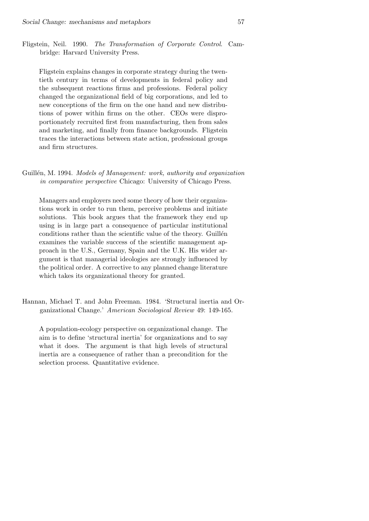Fligstein, Neil. 1990. The Transformation of Corporate Control. Cambridge: Harvard University Press.

Fligstein explains changes in corporate strategy during the twentieth century in terms of developments in federal policy and the subsequent reactions firms and professions. Federal policy changed the organizational field of big corporations, and led to new conceptions of the firm on the one hand and new distributions of power within firms on the other. CEOs were disproportionately recruited first from manufacturing, then from sales and marketing, and finally from finance backgrounds. Fligstein traces the interactions between state action, professional groups and firm structures.

Guillén, M. 1994. Models of Management: work, authority and organization in comparative perspective Chicago: University of Chicago Press.

Managers and employers need some theory of how their organizations work in order to run them, perceive problems and initiate solutions. This book argues that the framework they end up using is in large part a consequence of particular institutional conditions rather than the scientific value of the theory. Guillén examines the variable success of the scientific management approach in the U.S., Germany, Spain and the U.K. His wider argument is that managerial ideologies are strongly influenced by the political order. A corrective to any planned change literature which takes its organizational theory for granted.

Hannan, Michael T. and John Freeman. 1984. 'Structural inertia and Organizational Change.' American Sociological Review 49: 149-165.

A population-ecology perspective on organizational change. The aim is to define 'structural inertia' for organizations and to say what it does. The argument is that high levels of structural inertia are a consequence of rather than a precondition for the selection process. Quantitative evidence.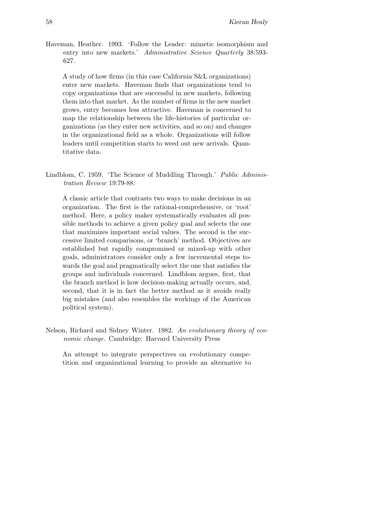Haveman, Heather. 1993. 'Follow the Leader: mimetic isomorphism and entry into new markets.' Administrative Science Quarterly 38:593-627.

A study of how firms (in this case California S&L organizations) enter new markets. Haveman finds that organizations tend to copy organizations that are successful in new markets, following them into that market. As the number of firms in the new market grows, entry becomes less attractive. Haveman is concerned to map the relationship between the life-histories of particular organizations (as they enter new activities, and so on) and changes in the organizational field as a whole. Organizations will follow leaders until competition starts to weed out new arrivals. Quantitative data.

Lindblom, C. 1959. 'The Science of Muddling Through.' *Public Adminis*tration Review 19:79-88.

A classic article that contrasts two ways to make decisions in an organization. The first is the rational-comprehensive, or 'root' method. Here, a policy maker systematically evaluates all possible methods to achieve a given policy goal and selects the one that maximizes important social values. The second is the successive limited comparisons, or 'branch' method. Objectives are established but rapidly compromised or mixed-up with other goals, administrators consider only a few incremental steps towards the goal and pragmatically select the one that satisfies the groups and individuals concerned. Lindblom argues, first, that the branch method is how decision-making actually occurs, and, second, that it is in fact the better method as it avoids really big mistakes (and also resembles the workings of the American political system).

Nelson, Richard and Sidney Winter. 1982. An evolutionary theory of economic change. Cambridge: Harvard University Press

An attempt to integrate perspectives on evolutionary competition and organizational learning to provide an alternative to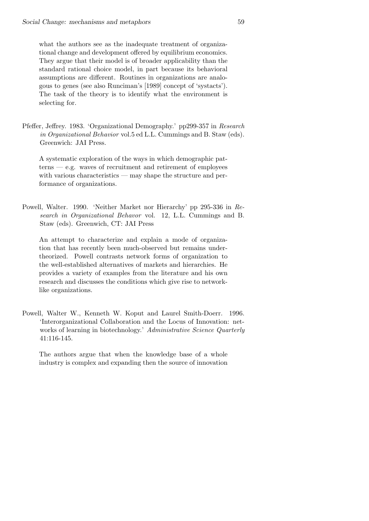what the authors see as the inadequate treatment of organizational change and development offered by equilibrium economics. They argue that their model is of broader applicability than the standard rational choice model, in part because its behavioral assumptions are different. Routines in organizations are analogous to genes (see also Runciman's [1989] concept of 'systacts'). The task of the theory is to identify what the environment is selecting for.

Pfeffer, Jeffrey. 1983. 'Organizational Demography.' pp299-357 in Research in Organizational Behavior vol.5 ed L.L. Cummings and B. Staw (eds). Greenwich: JAI Press.

A systematic exploration of the ways in which demographic patterns — e.g. waves of recruitment and retirement of employees with various characteristics — may shape the structure and performance of organizations.

Powell, Walter. 1990. 'Neither Market nor Hierarchy' pp 295-336 in Research in Organizational Behavor vol. 12, L.L. Cummings and B. Staw (eds). Greenwich, CT: JAI Press

An attempt to characterize and explain a mode of organization that has recently been much-observed but remains undertheorized. Powell contrasts network forms of organization to the well-established alternatives of markets and hierarchies. He provides a variety of examples from the literature and his own research and discusses the conditions which give rise to networklike organizations.

Powell, Walter W., Kenneth W. Koput and Laurel Smith-Doerr. 1996. 'Interorganizational Collaboration and the Locus of Innovation: networks of learning in biotechnology.' Administrative Science Quarterly 41:116-145.

The authors argue that when the knowledge base of a whole industry is complex and expanding then the source of innovation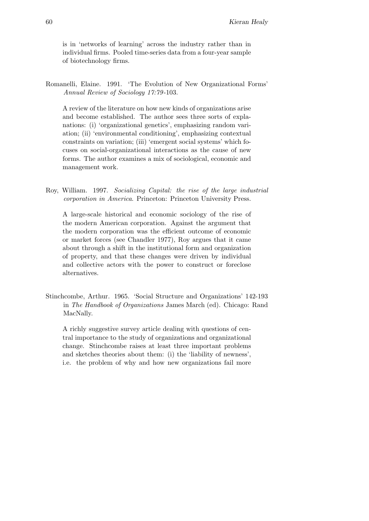is in 'networks of learning' across the industry rather than in individual firms. Pooled time-series data from a four-year sample of biotechnology firms.

Romanelli, Elaine. 1991. 'The Evolution of New Organizational Forms' Annual Review of Sociology 17:79 -103.

A review of the literature on how new kinds of organizations arise and become established. The author sees three sorts of explanations: (i) 'organizational genetics', emphasizing random variation; (ii) 'environmental conditioning', emphasizing contextual constraints on variation; (iii) 'emergent social systems' which focuses on social-organizational interactions as the cause of new forms. The author examines a mix of sociological, economic and management work.

Roy, William. 1997. Socializing Capital: the rise of the large industrial corporation in America. Princeton: Princeton University Press.

A large-scale historical and economic sociology of the rise of the modern American corporation. Against the argument that the modern corporation was the efficient outcome of economic or market forces (see Chandler 1977), Roy argues that it came about through a shift in the institutional form and organization of property, and that these changes were driven by individual and collective actors with the power to construct or foreclose alternatives.

Stinchcombe, Arthur. 1965. 'Social Structure and Organizations' 142-193 in The Handbook of Organizations James March (ed). Chicago: Rand MacNally.

A richly suggestive survey article dealing with questions of central importance to the study of organizations and organizational change. Stinchcombe raises at least three important problems and sketches theories about them: (i) the 'liability of newness', i.e. the problem of why and how new organizations fail more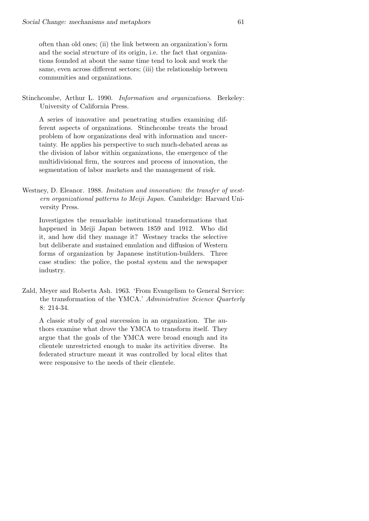often than old ones; (ii) the link between an organization's form and the social structure of its origin, i.e. the fact that organizations founded at about the same time tend to look and work the same, even across different sectors; (iii) the relationship between communities and organizations.

Stinchcombe, Arthur L. 1990. Information and organizations. Berkeley: University of California Press.

A series of innovative and penetrating studies examining different aspects of organizations. Stinchcombe treats the broad problem of how organizations deal with information and uncertainty. He applies his perspective to such much-debated areas as the division of labor within organizations, the emergence of the multidivisional firm, the sources and process of innovation, the segmentation of labor markets and the management of risk.

Westney, D. Eleanor. 1988. Imitation and innovation: the transfer of western organizational patterns to Meiji Japan. Cambridge: Harvard University Press.

Investigates the remarkable institutional transformations that happened in Meiji Japan between 1859 and 1912. Who did it, and how did they manage it? Westney tracks the selective but deliberate and sustained emulation and diffusion of Western forms of organization by Japanese institution-builders. Three case studies: the police, the postal system and the newspaper industry.

Zald, Meyer and Roberta Ash. 1963. 'From Evangelism to General Service: the transformation of the YMCA.' Administrative Science Quarterly 8: 214-34.

A classic study of goal succession in an organization. The authors examine what drove the YMCA to transform itself. They argue that the goals of the YMCA were broad enough and its clientele unrestricted enough to make its activities diverse. Its federated structure meant it was controlled by local elites that were responsive to the needs of their clientele.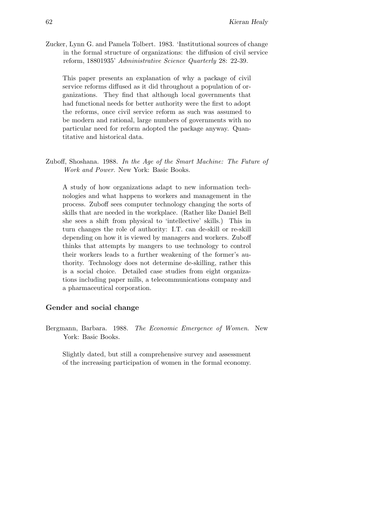Zucker, Lynn G. and Pamela Tolbert. 1983. 'Institutional sources of change in the formal structure of organizations: the diffusion of civil service reform, 18801935' Administrative Science Quarterly 28: 22-39.

This paper presents an explanation of why a package of civil service reforms diffused as it did throughout a population of organizations. They find that although local governments that had functional needs for better authority were the first to adopt the reforms, once civil service reform as such was assumed to be modern and rational, large numbers of governments with no particular need for reform adopted the package anyway. Quantitative and historical data.

Zuboff, Shoshana. 1988. In the Age of the Smart Machine: The Future of Work and Power. New York: Basic Books.

A study of how organizations adapt to new information technologies and what happens to workers and management in the process. Zuboff sees computer technology changing the sorts of skills that are needed in the workplace. (Rather like Daniel Bell she sees a shift from physical to 'intellective' skills.) This in turn changes the role of authority: I.T. can de-skill or re-skill depending on how it is viewed by managers and workers. Zuboff thinks that attempts by mangers to use technology to control their workers leads to a further weakening of the former's authority. Technology does not determine de-skilling, rather this is a social choice. Detailed case studies from eight organizations including paper mills, a telecommunications company and a pharmaceutical corporation.

## Gender and social change

Bergmann, Barbara. 1988. The Economic Emergence of Women. New York: Basic Books.

Slightly dated, but still a comprehensive survey and assessment of the increasing participation of women in the formal economy.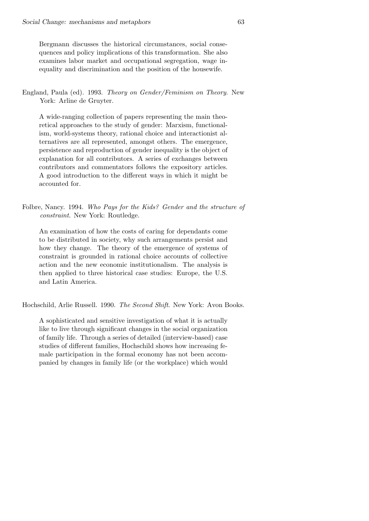Bergmann discusses the historical circumstances, social consequences and policy implications of this transformation. She also examines labor market and occupational segregation, wage inequality and discrimination and the position of the housewife.

England, Paula (ed). 1993. Theory on Gender/Feminism on Theory. New York: Arline de Gruyter.

A wide-ranging collection of papers representing the main theoretical approaches to the study of gender: Marxism, functionalism, world-systems theory, rational choice and interactionist alternatives are all represented, amongst others. The emergence, persistence and reproduction of gender inequality is the object of explanation for all contributors. A series of exchanges between contributors and commentators follows the expository articles. A good introduction to the different ways in which it might be accounted for.

Folbre, Nancy. 1994. Who Pays for the Kids? Gender and the structure of constraint. New York: Routledge.

An examination of how the costs of caring for dependants come to be distributed in society, why such arrangements persist and how they change. The theory of the emergence of systems of constraint is grounded in rational choice accounts of collective action and the new economic institutionalism. The analysis is then applied to three historical case studies: Europe, the U.S. and Latin America.

Hochschild, Arlie Russell. 1990. The Second Shift. New York: Avon Books.

A sophisticated and sensitive investigation of what it is actually like to live through significant changes in the social organization of family life. Through a series of detailed (interview-based) case studies of different families, Hochschild shows how increasing female participation in the formal economy has not been accompanied by changes in family life (or the workplace) which would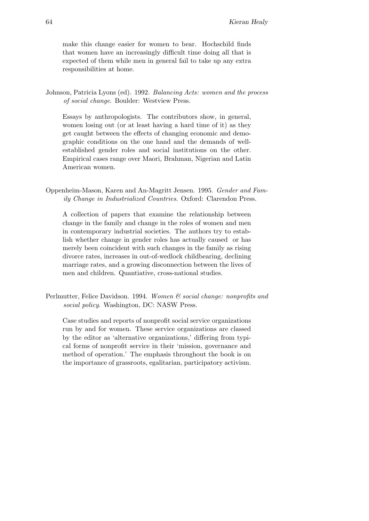make this change easier for women to bear. Hochschild finds that women have an increasingly difficult time doing all that is expected of them while men in general fail to take up any extra responsibilities at home.

Johnson, Patricia Lyons (ed). 1992. Balancing Acts: women and the process of social change. Boulder: Westview Press.

Essays by anthropologists. The contributors show, in general, women losing out (or at least having a hard time of it) as they get caught between the effects of changing economic and demographic conditions on the one hand and the demands of wellestablished gender roles and social institutions on the other. Empirical cases range over Maori, Brahman, Nigerian and Latin American women.

Oppenheim-Mason, Karen and An-Magritt Jensen. 1995. Gender and Family Change in Industrialized Countries. Oxford: Clarendon Press.

A collection of papers that examine the relationship between change in the family and change in the roles of women and men in contemporary industrial societies. The authors try to establish whether change in gender roles has actually caused or has merely been coincident with such changes in the family as rising divorce rates, increases in out-of-wedlock childbearing, declining marriage rates, and a growing disconnection between the lives of men and children. Quantiative, cross-national studies.

Perlmutter, Felice Davidson. 1994. Women & social change: nonprofits and social policy. Washington, DC: NASW Press.

Case studies and reports of nonprofit social service organizations run by and for women. These service organizations are classed by the editor as 'alternative organizations,' differing from typical forms of nonprofit service in their 'mission, governance and method of operation.' The emphasis throughout the book is on the importance of grassroots, egalitarian, participatory activism.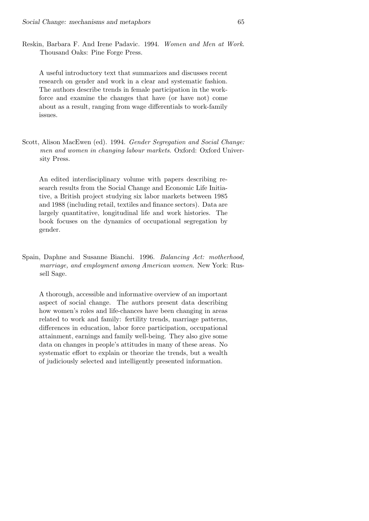Reskin, Barbara F. And Irene Padavic. 1994. Women and Men at Work. Thousand Oaks: Pine Forge Press.

A useful introductory text that summarizes and discusses recent research on gender and work in a clear and systematic fashion. The authors describe trends in female participation in the workforce and examine the changes that have (or have not) come about as a result, ranging from wage differentials to work-family issues.

Scott, Alison MacEwen (ed). 1994. Gender Segregation and Social Change: men and women in changing labour markets. Oxford: Oxford University Press.

An edited interdisciplinary volume with papers describing research results from the Social Change and Economic Life Initiative, a British project studying six labor markets between 1985 and 1988 (including retail, textiles and finance sectors). Data are largely quantitative, longitudinal life and work histories. The book focuses on the dynamics of occupational segregation by gender.

Spain, Daphne and Susanne Bianchi. 1996. Balancing Act: motherhood, marriage, and employment among American women. New York: Russell Sage.

A thorough, accessible and informative overview of an important aspect of social change. The authors present data describing how women's roles and life-chances have been changing in areas related to work and family: fertility trends, marriage patterns, differences in education, labor force participation, occupational attainment, earnings and family well-being. They also give some data on changes in people's attitudes in many of these areas. No systematic effort to explain or theorize the trends, but a wealth of judiciously selected and intelligently presented information.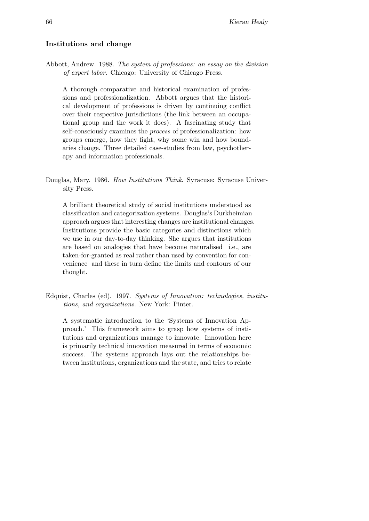# Institutions and change

Abbott, Andrew. 1988. The system of professions: an essay on the division of expert labor. Chicago: University of Chicago Press.

A thorough comparative and historical examination of professions and professionalization. Abbott argues that the historical development of professions is driven by continuing conflict over their respective jurisdictions (the link between an occupational group and the work it does). A fascinating study that self-consciously examines the process of professionalization: how groups emerge, how they fight, why some win and how boundaries change. Three detailed case-studies from law, psychotherapy and information professionals.

Douglas, Mary. 1986. How Institutions Think. Syracuse: Syracuse University Press.

A brilliant theoretical study of social institutions understood as classification and categorization systems. Douglas's Durkheimian approach argues that interesting changes are institutional changes. Institutions provide the basic categories and distinctions which we use in our day-to-day thinking. She argues that institutions are based on analogies that have become naturalised i.e., are taken-for-granted as real rather than used by convention for convenience and these in turn define the limits and contours of our thought.

Edquist, Charles (ed). 1997. Systems of Innovation: technologies, institutions, and organizations. New York: Pinter.

A systematic introduction to the 'Systems of Innovation Approach.' This framework aims to grasp how systems of institutions and organizations manage to innovate. Innovation here is primarily technical innovation measured in terms of economic success. The systems approach lays out the relationships between institutions, organizations and the state, and tries to relate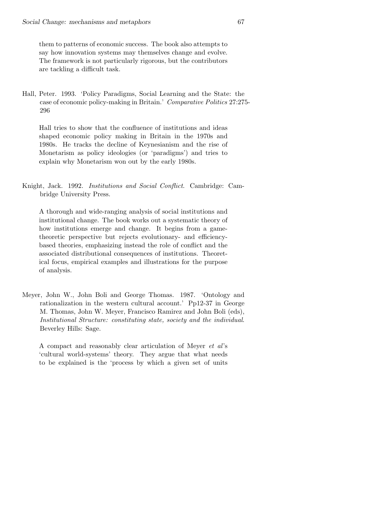them to patterns of economic success. The book also attempts to say how innovation systems may themselves change and evolve. The framework is not particularly rigorous, but the contributors are tackling a difficult task.

Hall, Peter. 1993. 'Policy Paradigms, Social Learning and the State: the case of economic policy-making in Britain.' Comparative Politics 27:275- 296

Hall tries to show that the confluence of institutions and ideas shaped economic policy making in Britain in the 1970s and 1980s. He tracks the decline of Keynesianism and the rise of Monetarism as policy ideologies (or 'paradigms') and tries to explain why Monetarism won out by the early 1980s.

Knight, Jack. 1992. Institutions and Social Conflict. Cambridge: Cambridge University Press.

A thorough and wide-ranging analysis of social institutions and institutional change. The book works out a systematic theory of how institutions emerge and change. It begins from a gametheoretic perspective but rejects evolutionary- and efficiencybased theories, emphasizing instead the role of conflict and the associated distributional consequences of institutions. Theoretical focus, empirical examples and illustrations for the purpose of analysis.

Meyer, John W., John Boli and George Thomas. 1987. 'Ontology and rationalization in the western cultural account.' Pp12-37 in George M. Thomas, John W. Meyer, Francisco Ramirez and John Boli (eds), Institutional Structure: constituting state, society and the individual. Beverley Hills: Sage.

A compact and reasonably clear articulation of Meyer et al's 'cultural world-systems' theory. They argue that what needs to be explained is the 'process by which a given set of units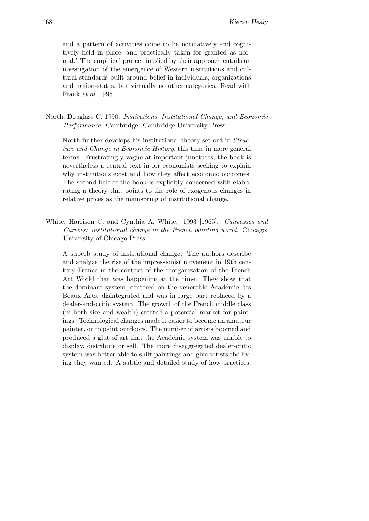and a pattern of activities come to be normatively and cognitively held in place, and practically taken for granted as normal.' The empirical project implied by their approach entails an investigation of the emergence of Western institutions and cultural standards built around belief in individuals, organizations and nation-states, but virtually no other categories. Read with Frank et al, 1995.

North, Douglass C. 1990. Institutions, Institutional Change, and Economic Performance. Cambridge: Cambridge University Press.

North further develops his institutional theory set out in Structure and Change in Economic History, this time in more general terms. Frustratingly vague at important junctures, the book is nevertheless a central text in for economists seeking to explain why institutions exist and how they affect economic outcomes. The second half of the book is explicitly concerned with elaborating a theory that points to the role of exogenous changes in relative prices as the mainspring of institutional change.

White, Harrison C. and Cynthia A. White. 1993 [1965]. Canvasses and Careers: institutional change in the French painting world. Chicago: University of Chicago Press.

A superb study of institutional change. The authors describe and analyze the rise of the impressionist movement in 19th century France in the context of the reorganization of the French Art World that was happening at the time. They show that the dominant system, centered on the venerable Académie des Beaux Arts, disintegrated and was in large part replaced by a dealer-and-critic system. The growth of the French middle class (in both size and wealth) created a potential market for paintings. Technological changes made it easier to become an amateur painter, or to paint outdoors. The number of artists boomed and produced a glut of art that the Académie system was unable to display, distribute or sell. The more disaggregated dealer-critic system was better able to shift paintings and give artists the living they wanted. A subtle and detailed study of how practices,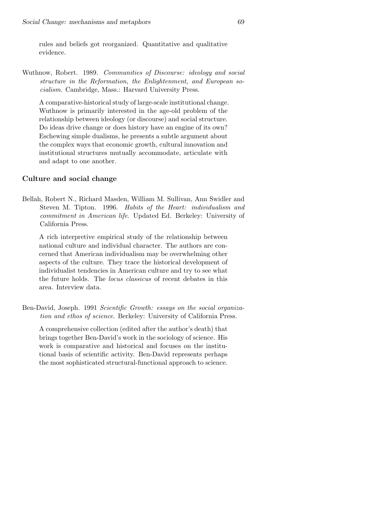rules and beliefs got reorganized. Quantitative and qualitative evidence.

Wuthnow, Robert. 1989. Communities of Discourse: ideology and social structure in the Reformation, the Enlightenment, and European socialism. Cambridge, Mass.: Harvard University Press.

A comparative-historical study of large-scale institutional change. Wuthnow is primarily interested in the age-old problem of the relationship between ideology (or discourse) and social structure. Do ideas drive change or does history have an engine of its own? Eschewing simple dualisms, he presents a subtle argument about the complex ways that economic growth, cultural innovation and institutional structures mutually accommodate, articulate with and adapt to one another.

## Culture and social change

Bellah, Robert N., Richard Masden, William M. Sullivan, Ann Swidler and Steven M. Tipton. 1996. Habits of the Heart: individualism and commitment in American life. Updated Ed. Berkeley: University of California Press.

A rich interpretive empirical study of the relationship between national culture and individual character. The authors are concerned that American individualism may be overwhelming other aspects of the culture. They trace the historical development of individualist tendencies in American culture and try to see what the future holds. The locus classicus of recent debates in this area. Interview data.

Ben-David, Joseph. 1991 Scientific Growth: essays on the social organization and ethos of science. Berkeley: University of California Press.

A comprehensive collection (edited after the author's death) that brings together Ben-David's work in the sociology of science. His work is comparative and historical and focuses on the institutional basis of scientific activity. Ben-David represents perhaps the most sophisticated structural-functional approach to science.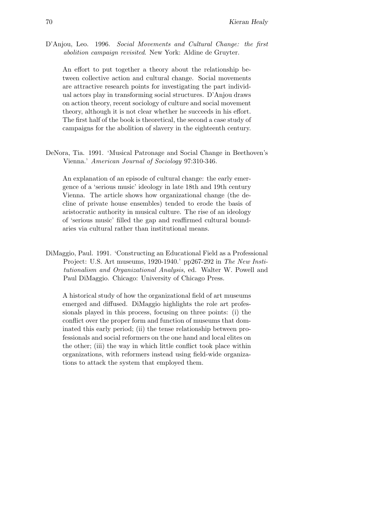D'Anjou, Leo. 1996. Social Movements and Cultural Change: the first abolition campaign revisited. New York: Aldine de Gruyter.

An effort to put together a theory about the relationship between collective action and cultural change. Social movements are attractive research points for investigating the part individual actors play in transforming social structures. D'Anjou draws on action theory, recent sociology of culture and social movement theory, although it is not clear whether he succeeds in his effort. The first half of the book is theoretical, the second a case study of campaigns for the abolition of slavery in the eighteenth century.

DeNora, Tia. 1991. 'Musical Patronage and Social Change in Beethoven's Vienna.' American Journal of Sociology 97:310-346.

An explanation of an episode of cultural change: the early emergence of a 'serious music' ideology in late 18th and 19th century Vienna. The article shows how organizational change (the decline of private house ensembles) tended to erode the basis of aristocratic authority in musical culture. The rise of an ideology of 'serious music' filled the gap and reaffirmed cultural boundaries via cultural rather than institutional means.

DiMaggio, Paul. 1991. 'Constructing an Educational Field as a Professional Project: U.S. Art museums, 1920-1940.' pp267-292 in The New Institutionalism and Organizational Analysis, ed. Walter W. Powell and Paul DiMaggio. Chicago: University of Chicago Press.

A historical study of how the organizational field of art museums emerged and diffused. DiMaggio highlights the role art professionals played in this process, focusing on three points: (i) the conflict over the proper form and function of museums that dominated this early period; (ii) the tense relationship between professionals and social reformers on the one hand and local elites on the other; (iii) the way in which little conflict took place within organizations, with reformers instead using field-wide organizations to attack the system that employed them.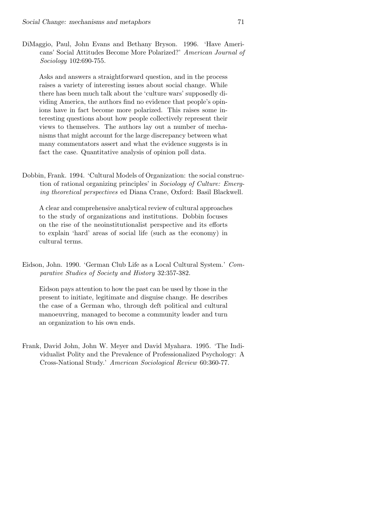DiMaggio, Paul, John Evans and Bethany Bryson. 1996. 'Have Americans' Social Attitudes Become More Polarized?' American Journal of Sociology 102:690-755.

Asks and answers a straightforward question, and in the process raises a variety of interesting issues about social change. While there has been much talk about the 'culture wars' supposedly dividing America, the authors find no evidence that people's opinions have in fact become more polarized. This raises some interesting questions about how people collectively represent their views to themselves. The authors lay out a number of mechanisms that might account for the large discrepancy between what many commentators assert and what the evidence suggests is in fact the case. Quantitative analysis of opinion poll data.

Dobbin, Frank. 1994. 'Cultural Models of Organization: the social construction of rational organizing principles' in Sociology of Culture: Emerging theoretical perspectives ed Diana Crane, Oxford: Basil Blackwell.

A clear and comprehensive analytical review of cultural approaches to the study of organizations and institutions. Dobbin focuses on the rise of the neoinstitutionalist perspective and its efforts to explain 'hard' areas of social life (such as the economy) in cultural terms.

Eidson, John. 1990. 'German Club Life as a Local Cultural System.' Comparative Studies of Society and History 32:357-382.

Eidson pays attention to how the past can be used by those in the present to initiate, legitimate and disguise change. He describes the case of a German who, through deft political and cultural manoeuvring, managed to become a community leader and turn an organization to his own ends.

Frank, David John, John W. Meyer and David Myahara. 1995. 'The Individualist Polity and the Prevalence of Professionalized Psychology: A Cross-National Study.' American Sociological Review 60:360-77.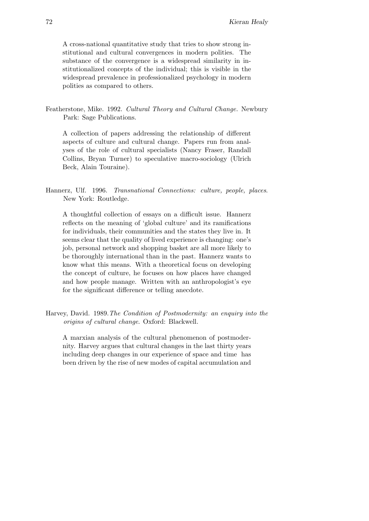A cross-national quantitative study that tries to show strong institutional and cultural convergences in modern polities. The substance of the convergence is a widespread similarity in institutionalized concepts of the individual; this is visible in the widespread prevalence in professionalized psychology in modern polities as compared to others.

Featherstone, Mike. 1992. Cultural Theory and Cultural Change. Newbury Park: Sage Publications.

A collection of papers addressing the relationship of different aspects of culture and cultural change. Papers run from analyses of the role of cultural specialists (Nancy Fraser, Randall Collins, Bryan Turner) to speculative macro-sociology (Ulrich Beck, Alain Touraine).

Hannerz, Ulf. 1996. Transnational Connections: culture, people, places. New York: Routledge.

A thoughtful collection of essays on a difficult issue. Hannerz reflects on the meaning of 'global culture' and its ramifications for individuals, their communities and the states they live in. It seems clear that the quality of lived experience is changing: one's job, personal network and shopping basket are all more likely to be thoroughly international than in the past. Hannerz wants to know what this means. With a theoretical focus on developing the concept of culture, he focuses on how places have changed and how people manage. Written with an anthropologist's eye for the significant difference or telling anecdote.

Harvey, David. 1989.The Condition of Postmodernity: an enquiry into the origins of cultural change. Oxford: Blackwell.

A marxian analysis of the cultural phenomenon of postmodernity. Harvey argues that cultural changes in the last thirty years including deep changes in our experience of space and time has been driven by the rise of new modes of capital accumulation and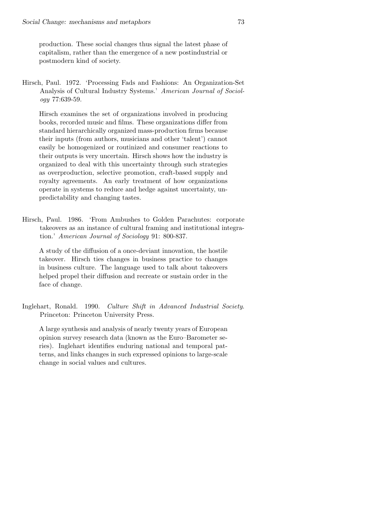production. These social changes thus signal the latest phase of capitalism, rather than the emergence of a new postindustrial or postmodern kind of society.

Hirsch, Paul. 1972. 'Processing Fads and Fashions: An Organization-Set Analysis of Cultural Industry Systems.' American Journal of Sociology 77:639-59.

Hirsch examines the set of organizations involved in producing books, recorded music and films. These organizations differ from standard hierarchically organized mass-production firms because their inputs (from authors, musicians and other 'talent') cannot easily be homogenized or routinized and consumer reactions to their outputs is very uncertain. Hirsch shows how the industry is organized to deal with this uncertainty through such strategies as overproduction, selective promotion, craft-based supply and royalty agreements. An early treatment of how organizations operate in systems to reduce and hedge against uncertainty, unpredictability and changing tastes.

Hirsch, Paul. 1986. 'From Ambushes to Golden Parachutes: corporate takeovers as an instance of cultural framing and institutional integration.' American Journal of Sociology 91: 800-837.

A study of the diffusion of a once-deviant innovation, the hostile takeover. Hirsch ties changes in business practice to changes in business culture. The language used to talk about takeovers helped propel their diffusion and recreate or sustain order in the face of change.

Inglehart, Ronald. 1990. Culture Shift in Advanced Industrial Society. Princeton: Princeton University Press.

A large synthesis and analysis of nearly twenty years of European opinion survey research data (known as the Euro–Barometer series). Inglehart identifies enduring national and temporal patterns, and links changes in such expressed opinions to large-scale change in social values and cultures.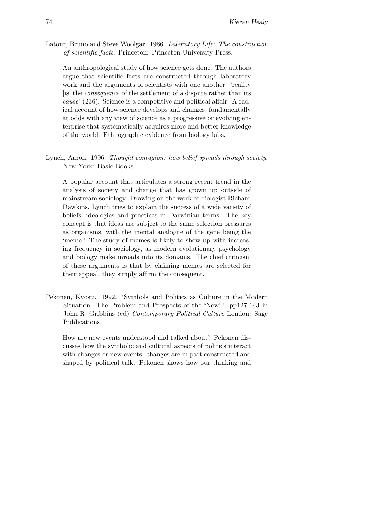Latour, Bruno and Steve Woolgar. 1986. Laboratory Life: The construction of scientific facts. Princeton: Princeton University Press.

An anthropological study of how science gets done. The authors argue that scientific facts are constructed through laboratory work and the arguments of scientists with one another: 'reality [is] the consequence of the settlement of a dispute rather than its cause' (236). Science is a competitive and political affair. A radical account of how science develops and changes, fundamentally at odds with any view of science as a progressive or evolving enterprise that systematically acquires more and better knowledge of the world. Ethnographic evidence from biology labs.

Lynch, Aaron. 1996. Thought contagion: how belief spreads through society. New York: Basic Books.

A popular account that articulates a strong recent trend in the analysis of society and change that has grown up outside of mainstream sociology. Drawing on the work of biologist Richard Dawkins, Lynch tries to explain the success of a wide variety of beliefs, ideologies and practices in Darwinian terms. The key concept is that ideas are subject to the same selection pressures as organisms, with the mental analogue of the gene being the 'meme.' The study of memes is likely to show up with increasing frequency in sociology, as modern evolutionary psychology and biology make inroads into its domains. The chief criticism of these arguments is that by claiming memes are selected for their appeal, they simply affirm the consequent.

Pekonen, Kyösti. 1992. 'Symbols and Politics as Culture in the Modern Situation: The Problem and Prospects of the 'New'.' pp127-143 in John R. Gribbins (ed) Contemporary Political Culture London: Sage Publications.

How are new events understood and talked about? Pekonen discusses how the symbolic and cultural aspects of politics interact with changes or new events: changes are in part constructed and shaped by political talk. Pekonen shows how our thinking and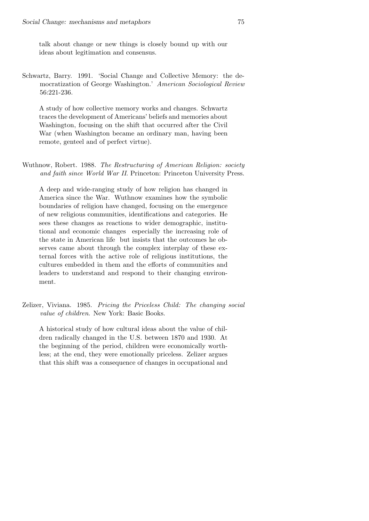talk about change or new things is closely bound up with our ideas about legitimation and consensus.

Schwartz, Barry. 1991. 'Social Change and Collective Memory: the democratization of George Washington.' American Sociological Review 56:221-236.

A study of how collective memory works and changes. Schwartz traces the development of Americans' beliefs and memories about Washington, focusing on the shift that occurred after the Civil War (when Washington became an ordinary man, having been remote, genteel and of perfect virtue).

Wuthnow, Robert. 1988. The Restructuring of American Religion: society and faith since World War II. Princeton: Princeton University Press.

A deep and wide-ranging study of how religion has changed in America since the War. Wuthnow examines how the symbolic boundaries of religion have changed, focusing on the emergence of new religious communities, identifications and categories. He sees these changes as reactions to wider demographic, institutional and economic changes especially the increasing role of the state in American life but insists that the outcomes he observes came about through the complex interplay of these external forces with the active role of religious institutions, the cultures embedded in them and the efforts of communities and leaders to understand and respond to their changing environment.

Zelizer, Viviana. 1985. Pricing the Priceless Child: The changing social value of children. New York: Basic Books.

A historical study of how cultural ideas about the value of children radically changed in the U.S. between 1870 and 1930. At the beginning of the period, children were economically worthless; at the end, they were emotionally priceless. Zelizer argues that this shift was a consequence of changes in occupational and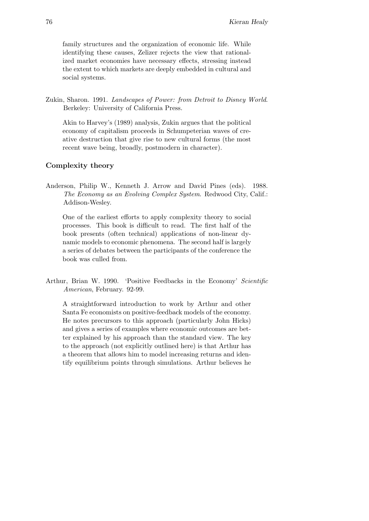family structures and the organization of economic life. While identifying these causes, Zelizer rejects the view that rationalized market economies have necessary effects, stressing instead the extent to which markets are deeply embedded in cultural and social systems.

Zukin, Sharon. 1991. Landscapes of Power: from Detroit to Disney World. Berkeley: University of California Press.

Akin to Harvey's (1989) analysis, Zukin argues that the political economy of capitalism proceeds in Schumpeterian waves of creative destruction that give rise to new cultural forms (the most recent wave being, broadly, postmodern in character).

## Complexity theory

Anderson, Philip W., Kenneth J. Arrow and David Pines (eds). 1988. The Economy as an Evolving Complex System. Redwood City, Calif.: Addison-Wesley.

One of the earliest efforts to apply complexity theory to social processes. This book is difficult to read. The first half of the book presents (often technical) applications of non-linear dynamic models to economic phenomena. The second half is largely a series of debates between the participants of the conference the book was culled from.

Arthur, Brian W. 1990. 'Positive Feedbacks in the Economy' Scientific American, February. 92-99.

A straightforward introduction to work by Arthur and other Santa Fe economists on positive-feedback models of the economy. He notes precursors to this approach (particularly John Hicks) and gives a series of examples where economic outcomes are better explained by his approach than the standard view. The key to the approach (not explicitly outlined here) is that Arthur has a theorem that allows him to model increasing returns and identify equilibrium points through simulations. Arthur believes he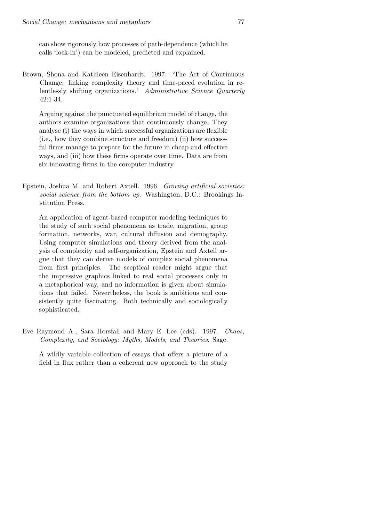can show rigorously how processes of path-dependence (which he calls 'lock-in') can be modeled, predicted and explained.

Brown, Shona and Kathleen Eisenhardt. 1997. 'The Art of Continuous Change: linking complexity theory and time-paced evolution in relentlessly shifting organizations.' Administrative Science Quarterly 42:1-34.

Arguing against the punctuated equilibrium model of change, the authors examine organizations that continuously change. They analyse (i) the ways in which successful organizations are flexible (i.e., how they combine structure and freedom) (ii) how successful firms manage to prepare for the future in cheap and effective ways, and (iii) how these firms operate over time. Data are from six innovating firms in the computer industry.

Epstein, Joshua M. and Robert Axtell. 1996. Growing artificial societies: social science from the bottom up. Washington, D.C.: Brookings Institution Press.

An application of agent-based computer modeling techniques to the study of such social phenomena as trade, migration, group formation, networks, war, cultural diffusion and demography. Using computer simulations and theory derived from the analysis of complexity and self-organization, Epstein and Axtell argue that they can derive models of complex social phenomena from first principles. The sceptical reader might argue that the impressive graphics linked to real social processes only in a metaphorical way, and no information is given about simulations that failed. Nevertheless, the book is ambitious and consistently quite fascinating. Both technically and sociologically sophisticated.

Eve Raymond A., Sara Horsfall and Mary E. Lee (eds). 1997. Chaos, Complexity, and Sociology: Myths, Models, and Theories. Sage.

A wildly variable collection of essays that offers a picture of a field in flux rather than a coherent new approach to the study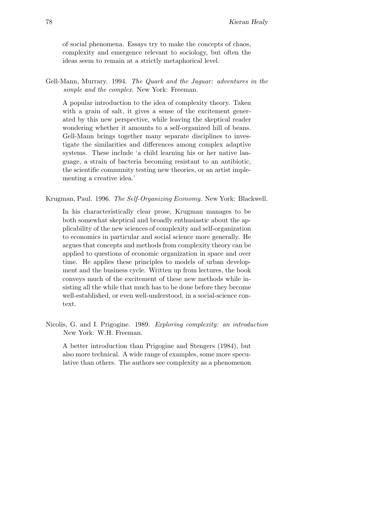of social phenomena. Essays try to make the concepts of chaos, complexity and emergence relevant to sociology, but often the ideas seem to remain at a strictly metaphorical level.

Gell-Mann, Murrary. 1994. The Quark and the Jaguar: adventures in the simple and the complex. New York: Freeman.

A popular introduction to the idea of complexity theory. Taken with a grain of salt, it gives a sense of the excitement generated by this new perspective, while leaving the skeptical reader wondering whether it amounts to a self-organized hill of beans. Gell-Mann brings together many separate disciplines to investigate the similarities and differences among complex adaptive systems. These include 'a child learning his or her native language, a strain of bacteria becoming resistant to an antibiotic, the scientific community testing new theories, or an artist implementing a creative idea.'

Krugman, Paul. 1996. The Self-Organizing Economy. New York: Blackwell.

In his characteristically clear prose, Krugman manages to be both somewhat skeptical and broadly enthusiastic about the applicability of the new sciences of complexity and self-organization to economics in particular and social science more generally. He argues that concepts and methods from complexity theory can be applied to questions of economic organization in space and over time. He applies these principles to models of urban development and the business cycle. Written up from lectures, the book conveys much of the excitement of these new methods while insisting all the while that much has to be done before they become well-established, or even well-understood, in a social-science context.

Nicolis, G. and I. Prigogine. 1989. Exploring complexity: an introduction New York: W.H. Freeman.

A better introduction than Prigogine and Stengers (1984), but also more technical. A wide range of examples, some more speculative than others. The authors see complexity as a phenomenon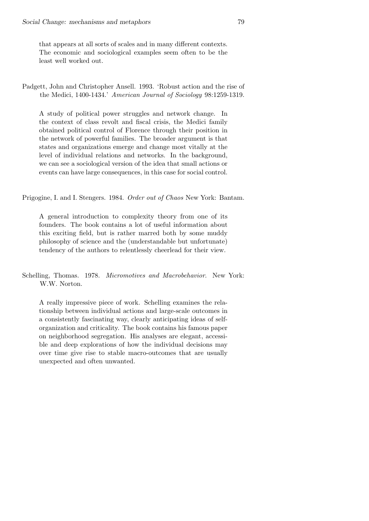that appears at all sorts of scales and in many different contexts. The economic and sociological examples seem often to be the least well worked out.

Padgett, John and Christopher Ansell. 1993. 'Robust action and the rise of the Medici, 1400-1434.' American Journal of Sociology 98:1259-1319.

A study of political power struggles and network change. In the context of class revolt and fiscal crisis, the Medici family obtained political control of Florence through their position in the network of powerful families. The broader argument is that states and organizations emerge and change most vitally at the level of individual relations and networks. In the background, we can see a sociological version of the idea that small actions or events can have large consequences, in this case for social control.

Prigogine, I. and I. Stengers. 1984. Order out of Chaos New York: Bantam.

A general introduction to complexity theory from one of its founders. The book contains a lot of useful information about this exciting field, but is rather marred both by some muddy philosophy of science and the (understandable but unfortunate) tendency of the authors to relentlessly cheerlead for their view.

Schelling, Thomas. 1978. Micromotives and Macrobehavior. New York: W.W. Norton.

A really impressive piece of work. Schelling examines the relationship between individual actions and large-scale outcomes in a consistently fascinating way, clearly anticipating ideas of selforganization and criticality. The book contains his famous paper on neighborhood segregation. His analyses are elegant, accessible and deep explorations of how the individual decisions may over time give rise to stable macro-outcomes that are usually unexpected and often unwanted.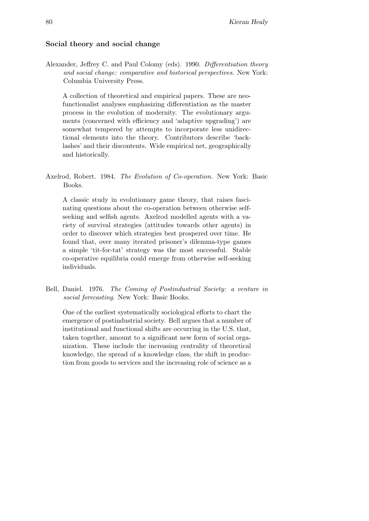## Social theory and social change

Alexander, Jeffrey C. and Paul Colomy (eds). 1990. Differentiation theory and social change: comparative and historical perspectives. New York: Columbia University Press.

A collection of theoretical and empirical papers. These are neofunctionalist analyses emphasizing differentiation as the master process in the evolution of modernity. The evolutionary arguments (concerned with efficiency and 'adaptive upgrading') are somewhat tempered by attempts to incorporate less unidirectional elements into the theory. Contributors describe 'backlashes' and their discontents. Wide empirical net, geographically and historically.

A classic study in evolutionary game theory, that raises fascinating questions about the co-operation between otherwise selfseeking and selfish agents. Axelrod modelled agents with a variety of survival strategies (attitudes towards other agents) in order to discover which strategies best prospered over time. He found that, over many iterated prisoner's dilemma-type games a simple 'tit-for-tat' strategy was the most successful. Stable co-operative equilibria could emerge from otherwise self-seeking individuals.

Bell, Daniel. 1976. The Coming of Postindustrial Society: a venture in social forecasting. New York: Basic Books.

One of the earliest systematically sociological efforts to chart the emergence of postindustrial society. Bell argues that a number of institutional and functional shifts are occurring in the U.S. that, taken together, amount to a significant new form of social organization. These include the increasing centrality of theoretical knowledge, the spread of a knowledge class, the shift in production from goods to services and the increasing role of science as a

Axelrod, Robert. 1984. The Evolution of Co-operation. New York: Basic Books.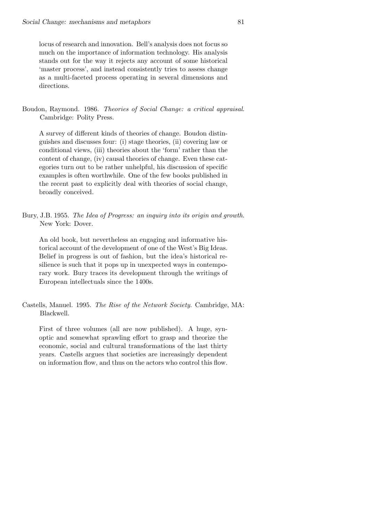locus of research and innovation. Bell's analysis does not focus so much on the importance of information technology. His analysis stands out for the way it rejects any account of some historical 'master process', and instead consistently tries to assess change as a multi-faceted process operating in several dimensions and directions.

Boudon, Raymond. 1986. Theories of Social Change: a critical appraisal. Cambridge: Polity Press.

A survey of different kinds of theories of change. Boudon distinguishes and discusses four: (i) stage theories, (ii) covering law or conditional views, (iii) theories about the 'form' rather than the content of change, (iv) causal theories of change. Even these categories turn out to be rather unhelpful, his discussion of specific examples is often worthwhile. One of the few books published in the recent past to explicitly deal with theories of social change, broadly conceived.

Bury, J.B. 1955. The Idea of Progress: an inquiry into its origin and growth. New York: Dover.

An old book, but nevertheless an engaging and informative historical account of the development of one of the West's Big Ideas. Belief in progress is out of fashion, but the idea's historical resilience is such that it pops up in unexpected ways in contemporary work. Bury traces its development through the writings of European intellectuals since the 1400s.

Castells, Manuel. 1995. The Rise of the Network Society. Cambridge, MA: Blackwell.

First of three volumes (all are now published). A huge, synoptic and somewhat sprawling effort to grasp and theorize the economic, social and cultural transformations of the last thirty years. Castells argues that societies are increasingly dependent on information flow, and thus on the actors who control this flow.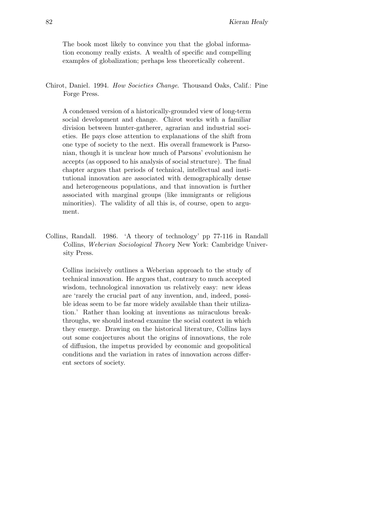The book most likely to convince you that the global information economy really exists. A wealth of specific and compelling examples of globalization; perhaps less theoretically coherent.

Chirot, Daniel. 1994. How Societies Change. Thousand Oaks, Calif.: Pine Forge Press.

A condensed version of a historically-grounded view of long-term social development and change. Chirot works with a familiar division between hunter-gatherer, agrarian and industrial societies. He pays close attention to explanations of the shift from one type of society to the next. His overall framework is Parsonian, though it is unclear how much of Parsons' evolutionism he accepts (as opposed to his analysis of social structure). The final chapter argues that periods of technical, intellectual and institutional innovation are associated with demographically dense and heterogeneous populations, and that innovation is further associated with marginal groups (like immigrants or religious minorities). The validity of all this is, of course, open to argument.

Collins, Randall. 1986. 'A theory of technology' pp 77-116 in Randall Collins, Weberian Sociological Theory New York: Cambridge University Press.

Collins incisively outlines a Weberian approach to the study of technical innovation. He argues that, contrary to much accepted wisdom, technological innovation us relatively easy: new ideas are 'rarely the crucial part of any invention, and, indeed, possible ideas seem to be far more widely available than their utilization.' Rather than looking at inventions as miraculous breakthroughs, we should instead examine the social context in which they emerge. Drawing on the historical literature, Collins lays out some conjectures about the origins of innovations, the role of diffusion, the impetus provided by economic and geopolitical conditions and the variation in rates of innovation across different sectors of society.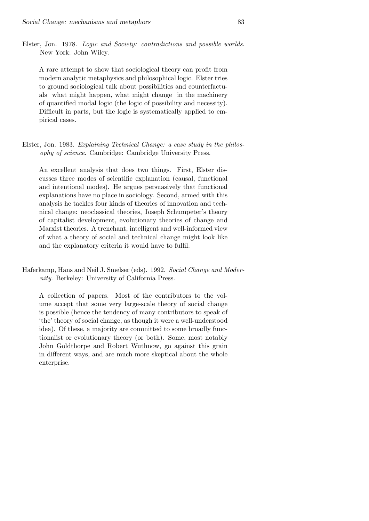Elster, Jon. 1978. Logic and Society: contradictions and possible worlds. New York: John Wiley.

A rare attempt to show that sociological theory can profit from modern analytic metaphysics and philosophical logic. Elster tries to ground sociological talk about possibilities and counterfactuals what might happen, what might change in the machinery of quantified modal logic (the logic of possibility and necessity). Difficult in parts, but the logic is systematically applied to empirical cases.

Elster, Jon. 1983. Explaining Technical Change: a case study in the philosophy of science. Cambridge: Cambridge University Press.

An excellent analysis that does two things. First, Elster discusses three modes of scientific explanation (causal, functional and intentional modes). He argues persuasively that functional explanations have no place in sociology. Second, armed with this analysis he tackles four kinds of theories of innovation and technical change: neoclassical theories, Joseph Schumpeter's theory of capitalist development, evolutionary theories of change and Marxist theories. A trenchant, intelligent and well-informed view of what a theory of social and technical change might look like and the explanatory criteria it would have to fulfil.

Haferkamp, Hans and Neil J. Smelser (eds). 1992. Social Change and Modernity. Berkeley: University of California Press.

A collection of papers. Most of the contributors to the volume accept that some very large-scale theory of social change is possible (hence the tendency of many contributors to speak of 'the' theory of social change, as though it were a well-understood idea). Of these, a majority are committed to some broadly functionalist or evolutionary theory (or both). Some, most notably John Goldthorpe and Robert Wuthnow, go against this grain in different ways, and are much more skeptical about the whole enterprise.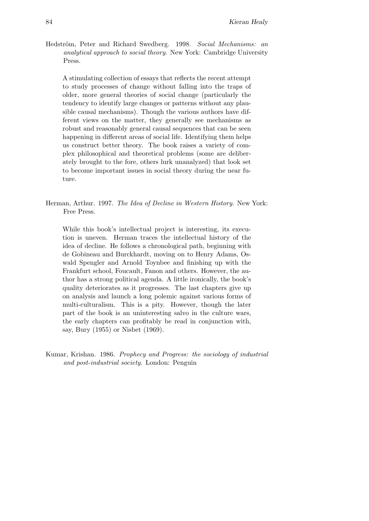Hedström, Peter and Richard Swedberg. 1998. Social Mechanisms: an analytical approach to social theory. New York: Cambridge University Press.

A stimulating collection of essays that reflects the recent attempt to study processes of change without falling into the traps of older, more general theories of social change (particularly the tendency to identify large changes or patterns without any plausible causal mechanisms). Though the various authors have different views on the matter, they generally see mechanisms as robust and reasonably general causal sequences that can be seen happening in different areas of social life. Identifying them helps us construct better theory. The book raises a variety of complex philosophical and theoretical problems (some are deliberately brought to the fore, others lurk unanalyzed) that look set to become important issues in social theory during the near future.

Herman, Arthur. 1997. The Idea of Decline in Western History. New York: Free Press.

While this book's intellectual project is interesting, its execution is uneven. Herman traces the intellectual history of the idea of decline. He follows a chronological path, beginning with de Gobineau and Burckhardt, moving on to Henry Adams, Oswald Spengler and Arnold Toynbee and finishing up with the Frankfurt school, Foucault, Fanon and others. However, the author has a strong political agenda. A little ironically, the book's quality deteriorates as it progresses. The last chapters give up on analysis and launch a long polemic against various forms of multi-culturalism. This is a pity. However, though the later part of the book is an uninteresting salvo in the culture wars, the early chapters can profitably be read in conjunction with, say, Bury (1955) or Nisbet (1969).

Kumar, Krishan. 1986. Prophecy and Progress: the sociology of industrial and post-industrial society. London: Penguin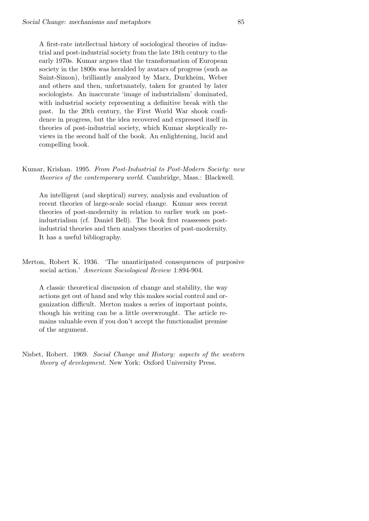A first-rate intellectual history of sociological theories of industrial and post-industrial society from the late 18th century to the early 1970s. Kumar argues that the transformation of European society in the 1800s was heralded by avatars of progress (such as Saint-Simon), brilliantly analyzed by Marx, Durkheim, Weber and others and then, unfortunately, taken for granted by later sociologists. An inaccurate 'image of industrialism' dominated, with industrial society representing a definitive break with the past. In the 20th century, the First World War shook confidence in progress, but the idea recovered and expressed itself in theories of post-industrial society, which Kumar skeptically reviews in the second half of the book. An enlightening, lucid and compelling book.

Kumar, Krishan. 1995. From Post-Industrial to Post-Modern Society: new theories of the contemporary world. Cambridge, Mass.: Blackwell.

An intelligent (and skeptical) survey, analysis and evaluation of recent theories of large-scale social change. Kumar sees recent theories of post-modernity in relation to earlier work on postindustrialism (cf. Daniel Bell). The book first reassesses postindustrial theories and then analyses theories of post-modernity. It has a useful bibliography.

Merton, Robert K. 1936. 'The unanticipated consequences of purposive social action.' American Sociological Review 1:894-904.

A classic theoretical discussion of change and stability, the way actions get out of hand and why this makes social control and organization difficult. Merton makes a series of important points, though his writing can be a little overwrought. The article remains valuable even if you don't accept the functionalist premise of the argument.

Nisbet, Robert. 1969. Social Change and History: aspects of the western theory of development. New York: Oxford University Press.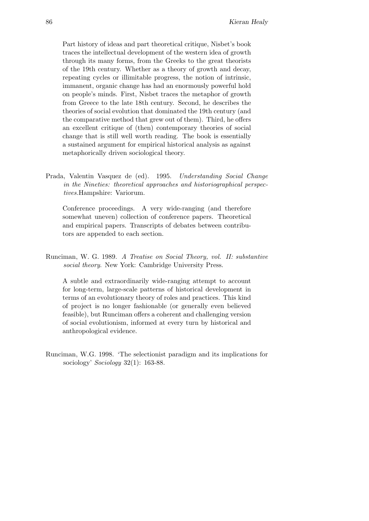Part history of ideas and part theoretical critique, Nisbet's book traces the intellectual development of the western idea of growth through its many forms, from the Greeks to the great theorists of the 19th century. Whether as a theory of growth and decay, repeating cycles or illimitable progress, the notion of intrinsic, immanent, organic change has had an enormously powerful hold on people's minds. First, Nisbet traces the metaphor of growth from Greece to the late 18th century. Second, he describes the theories of social evolution that dominated the 19th century (and the comparative method that grew out of them). Third, he offers an excellent critique of (then) contemporary theories of social change that is still well worth reading. The book is essentially a sustained argument for empirical historical analysis as against metaphorically driven sociological theory.

Prada, Valentin Vasquez de (ed). 1995. Understanding Social Change in the Nineties: theoretical approaches and historiographical perspectives.Hampshire: Variorum.

Conference proceedings. A very wide-ranging (and therefore somewhat uneven) collection of conference papers. Theoretical and empirical papers. Transcripts of debates between contributors are appended to each section.

Runciman, W. G. 1989. A Treatise on Social Theory, vol. II: substantive social theory. New York: Cambridge University Press.

A subtle and extraordinarily wide-ranging attempt to account for long-term, large-scale patterns of historical development in terms of an evolutionary theory of roles and practices. This kind of project is no longer fashionable (or generally even believed feasible), but Runciman offers a coherent and challenging version of social evolutionism, informed at every turn by historical and anthropological evidence.

Runciman, W.G. 1998. 'The selectionist paradigm and its implications for sociology' Sociology 32(1): 163-88.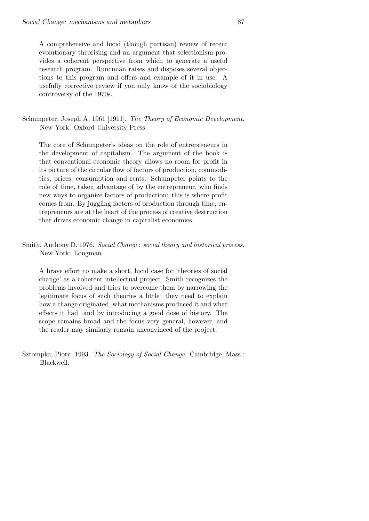A comprehensive and lucid (though partisan) review of recent evolutionary theorising and an argument that selectionism provides a coherent perspective from which to generate a useful research program. Runciman raises and disposes several objections to this program and offers and example of it in use. A usefully corrective review if you only know of the sociobiology controversy of the 1970s.

Schumpeter, Joseph A. 1961 [1911]. The Theory of Economic Development. New York: Oxford University Press.

The core of Schumpeter's ideas on the role of entrepreneurs in the development of capitalism. The argument of the book is that conventional economic theory allows no room for profit in its picture of the circular flow of factors of production, commodities, prices, consumption and rents. Schumpeter points to the role of time, taken advantage of by the entrepreneur, who finds new ways to organize factors of production: this is where profit comes from. By juggling factors of production through time, entrepreneurs are at the heart of the process of creative destruction that drives economic change in capitalist economies.

Smith, Anthony D. 1976. Social Change: social theory and historical process. New York: Longman.

A brave effort to make a short, lucid case for 'theories of social change' as a coherent intellectual project. Smith recognizes the problems involved and tries to overcome them by narrowing the legitimate focus of such theories a little they need to explain how a change originated, what mechanisms produced it and what effects it had and by introducing a good dose of history. The scope remains broad and the focus very general, however, and the reader may similarly remain unconvinced of the project.

Sztompka, Piotr. 1993. The Sociology of Social Change. Cambridge, Mass.: Blackwell.